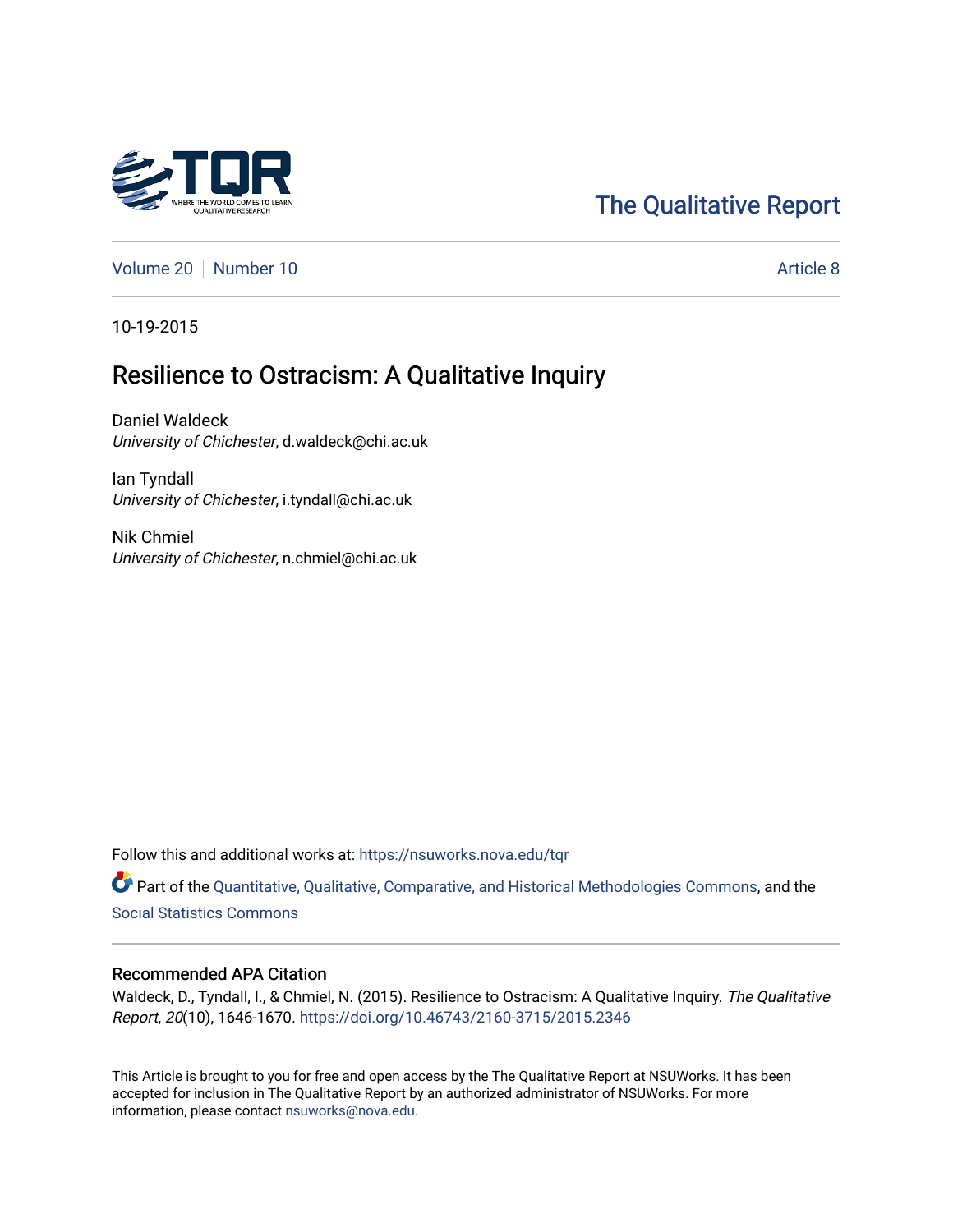# [The Qualitative Report](https://nsuworks.nova.edu/tqr)

[Volume 20](https://nsuworks.nova.edu/tqr/vol20) [Number 10](https://nsuworks.nova.edu/tqr/vol20/iss10) Article 8

10-19-2015

# Resilience to Ostracism: A Qualitative Inquiry

Daniel Waldeck University of Chichester, d.waldeck@chi.ac.uk

Ian Tyndall University of Chichester, i.tyndall@chi.ac.uk

Nik Chmiel University of Chichester, n.chmiel@chi.ac.uk

Follow this and additional works at: [https://nsuworks.nova.edu/tqr](https://nsuworks.nova.edu/tqr?utm_source=nsuworks.nova.edu%2Ftqr%2Fvol20%2Fiss10%2F8&utm_medium=PDF&utm_campaign=PDFCoverPages) 

Part of the [Quantitative, Qualitative, Comparative, and Historical Methodologies Commons,](http://network.bepress.com/hgg/discipline/423?utm_source=nsuworks.nova.edu%2Ftqr%2Fvol20%2Fiss10%2F8&utm_medium=PDF&utm_campaign=PDFCoverPages) and the [Social Statistics Commons](http://network.bepress.com/hgg/discipline/1275?utm_source=nsuworks.nova.edu%2Ftqr%2Fvol20%2Fiss10%2F8&utm_medium=PDF&utm_campaign=PDFCoverPages) 

# Recommended APA Citation

Waldeck, D., Tyndall, I., & Chmiel, N. (2015). Resilience to Ostracism: A Qualitative Inquiry. The Qualitative Report, 20(10), 1646-1670. <https://doi.org/10.46743/2160-3715/2015.2346>

This Article is brought to you for free and open access by the The Qualitative Report at NSUWorks. It has been accepted for inclusion in The Qualitative Report by an authorized administrator of NSUWorks. For more information, please contact [nsuworks@nova.edu.](mailto:nsuworks@nova.edu)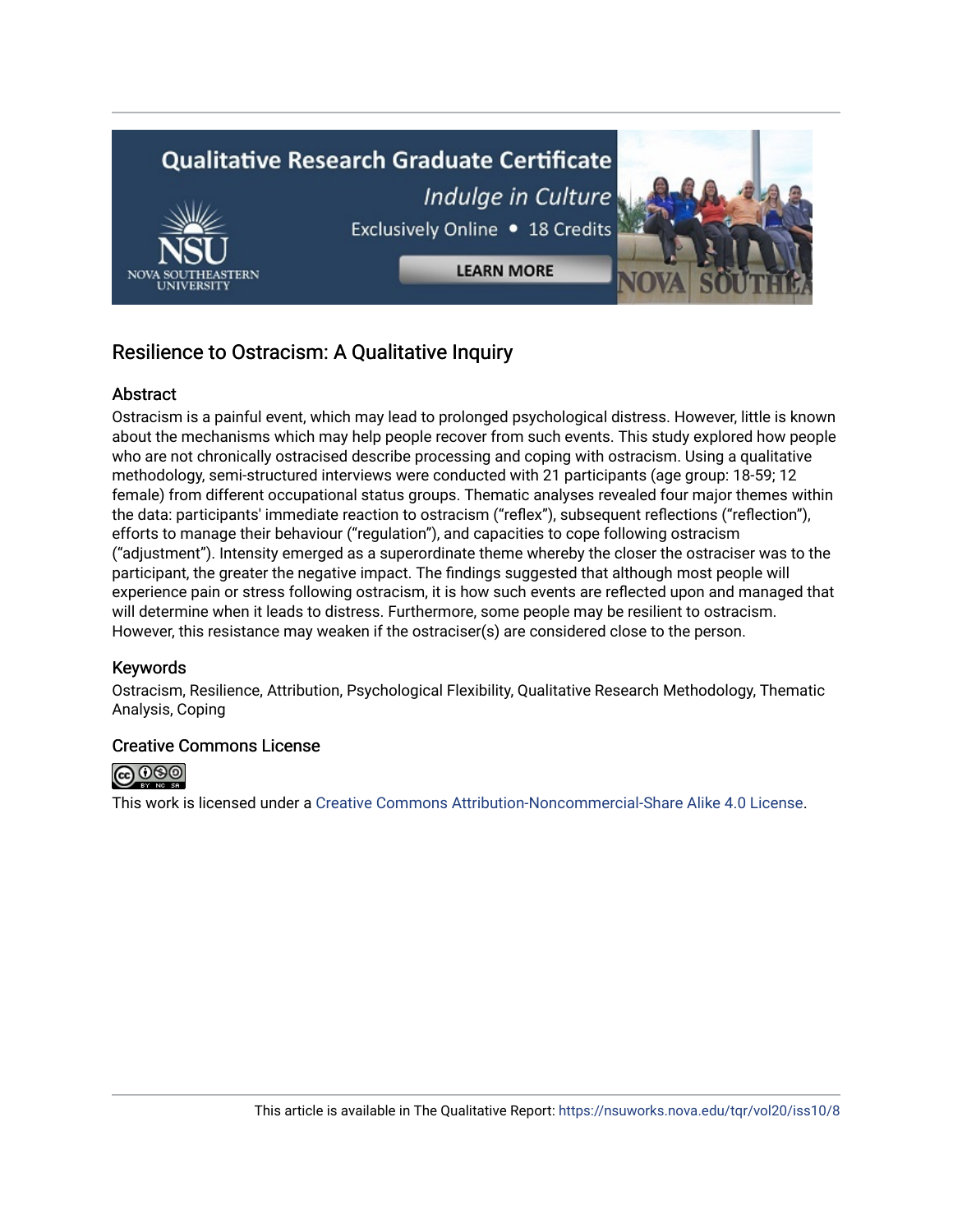

# Resilience to Ostracism: A Qualitative Inquiry

# **Abstract**

Ostracism is a painful event, which may lead to prolonged psychological distress. However, little is known about the mechanisms which may help people recover from such events. This study explored how people who are not chronically ostracised describe processing and coping with ostracism. Using a qualitative methodology, semi-structured interviews were conducted with 21 participants (age group: 18-59; 12 female) from different occupational status groups. Thematic analyses revealed four major themes within the data: participants' immediate reaction to ostracism ("reflex"), subsequent reflections ("reflection"), efforts to manage their behaviour ("regulation"), and capacities to cope following ostracism ("adjustment"). Intensity emerged as a superordinate theme whereby the closer the ostraciser was to the participant, the greater the negative impact. The findings suggested that although most people will experience pain or stress following ostracism, it is how such events are reflected upon and managed that will determine when it leads to distress. Furthermore, some people may be resilient to ostracism. However, this resistance may weaken if the ostraciser(s) are considered close to the person.

# Keywords

Ostracism, Resilience, Attribution, Psychological Flexibility, Qualitative Research Methodology, Thematic Analysis, Coping

# Creative Commons License



This work is licensed under a [Creative Commons Attribution-Noncommercial-Share Alike 4.0 License](https://creativecommons.org/licenses/by-nc-sa/4.0/).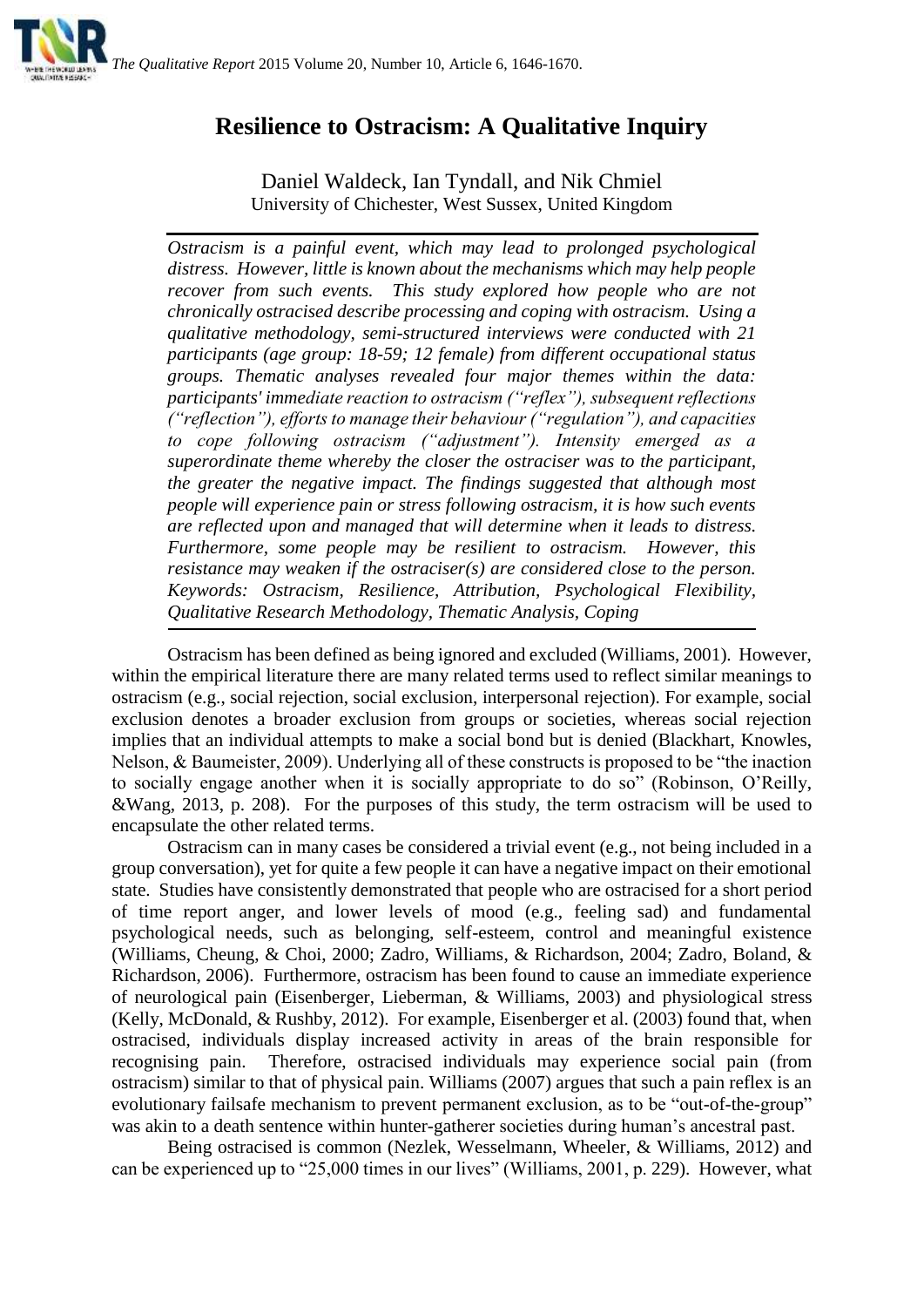# **Resilience to Ostracism: A Qualitative Inquiry**

Daniel Waldeck, Ian Tyndall, and Nik Chmiel University of Chichester, West Sussex, United Kingdom

*Ostracism is a painful event, which may lead to prolonged psychological distress. However, little is known about the mechanisms which may help people recover from such events. This study explored how people who are not chronically ostracised describe processing and coping with ostracism. Using a qualitative methodology, semi-structured interviews were conducted with 21 participants (age group: 18-59; 12 female) from different occupational status groups. Thematic analyses revealed four major themes within the data: participants' immediate reaction to ostracism ("reflex"), subsequent reflections ("reflection"), efforts to manage their behaviour ("regulation"), and capacities to cope following ostracism ("adjustment"). Intensity emerged as a superordinate theme whereby the closer the ostraciser was to the participant, the greater the negative impact. The findings suggested that although most people will experience pain or stress following ostracism, it is how such events are reflected upon and managed that will determine when it leads to distress. Furthermore, some people may be resilient to ostracism. However, this resistance may weaken if the ostraciser(s) are considered close to the person. Keywords: Ostracism, Resilience, Attribution, Psychological Flexibility, Qualitative Research Methodology, Thematic Analysis, Coping*

Ostracism has been defined as being ignored and excluded (Williams, 2001). However, within the empirical literature there are many related terms used to reflect similar meanings to ostracism (e.g., social rejection, social exclusion, interpersonal rejection). For example, social exclusion denotes a broader exclusion from groups or societies, whereas social rejection implies that an individual attempts to make a social bond but is denied (Blackhart, Knowles, Nelson, & Baumeister, 2009). Underlying all of these constructs is proposed to be "the inaction to socially engage another when it is socially appropriate to do so" (Robinson, O'Reilly, &Wang, 2013, p. 208). For the purposes of this study, the term ostracism will be used to encapsulate the other related terms.

Ostracism can in many cases be considered a trivial event (e.g., not being included in a group conversation), yet for quite a few people it can have a negative impact on their emotional state. Studies have consistently demonstrated that people who are ostracised for a short period of time report anger, and lower levels of mood (e.g., feeling sad) and fundamental psychological needs, such as belonging, self-esteem, control and meaningful existence (Williams, Cheung, & Choi, 2000; Zadro, Williams, & Richardson, 2004; Zadro, Boland, & Richardson, 2006). Furthermore, ostracism has been found to cause an immediate experience of neurological pain (Eisenberger, Lieberman, & Williams, 2003) and physiological stress (Kelly, McDonald, & Rushby, 2012). For example, Eisenberger et al. (2003) found that, when ostracised, individuals display increased activity in areas of the brain responsible for recognising pain. Therefore, ostracised individuals may experience social pain (from ostracism) similar to that of physical pain. Williams (2007) argues that such a pain reflex is an evolutionary failsafe mechanism to prevent permanent exclusion, as to be "out-of-the-group" was akin to a death sentence within hunter-gatherer societies during human's ancestral past.

Being ostracised is common (Nezlek, Wesselmann, Wheeler, & Williams, 2012) and can be experienced up to "25,000 times in our lives" (Williams, 2001, p. 229). However, what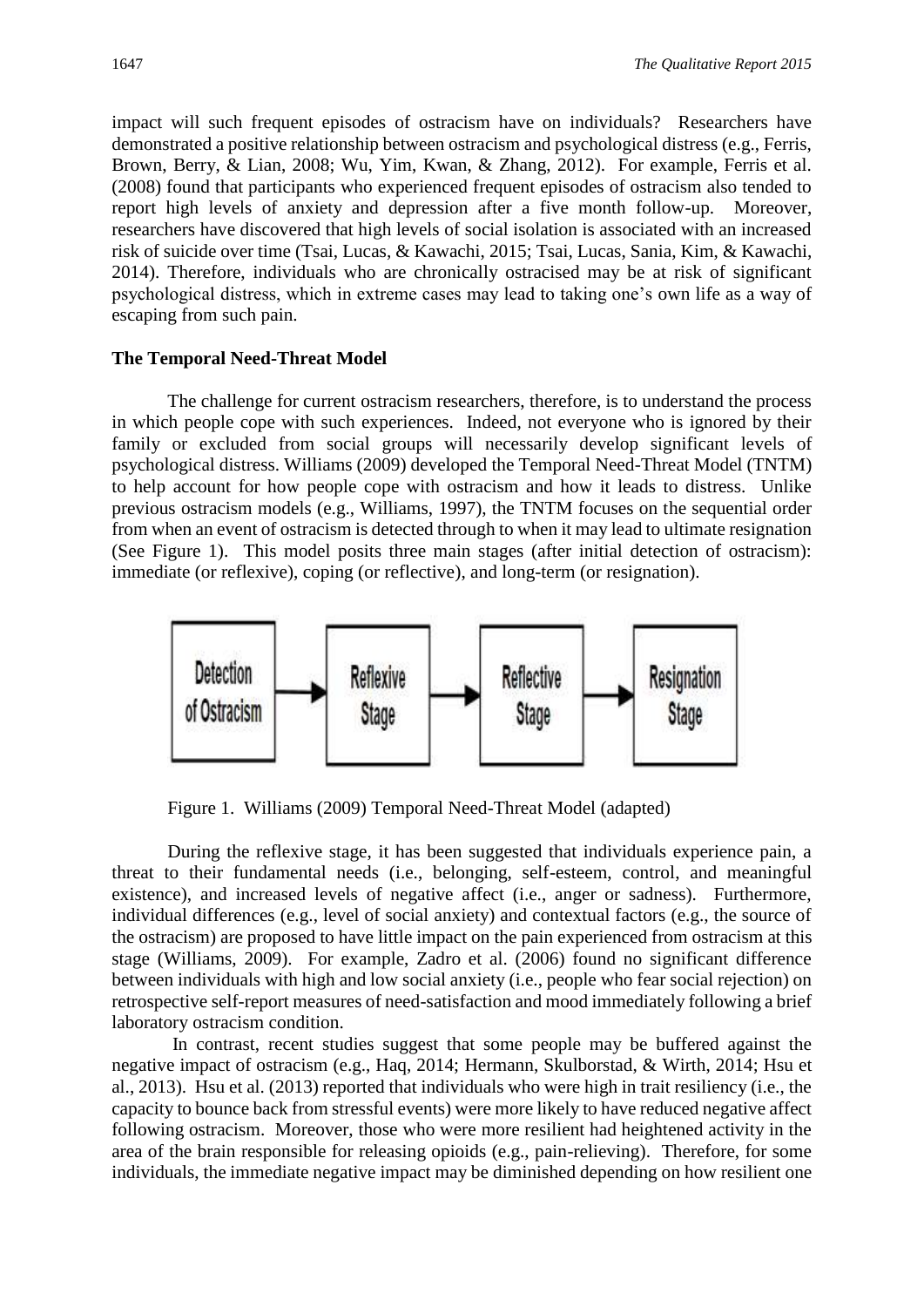impact will such frequent episodes of ostracism have on individuals? Researchers have demonstrated a positive relationship between ostracism and psychological distress (e.g., Ferris, Brown, Berry, & Lian, 2008; Wu, Yim, Kwan, & Zhang, 2012). For example, Ferris et al. (2008) found that participants who experienced frequent episodes of ostracism also tended to report high levels of anxiety and depression after a five month follow-up. Moreover, researchers have discovered that high levels of social isolation is associated with an increased risk of suicide over time (Tsai, Lucas, & Kawachi, 2015; Tsai, Lucas, Sania, Kim, & Kawachi, 2014). Therefore, individuals who are chronically ostracised may be at risk of significant psychological distress, which in extreme cases may lead to taking one's own life as a way of escaping from such pain.

#### **The Temporal Need-Threat Model**

The challenge for current ostracism researchers, therefore, is to understand the process in which people cope with such experiences. Indeed, not everyone who is ignored by their family or excluded from social groups will necessarily develop significant levels of psychological distress. Williams (2009) developed the Temporal Need-Threat Model (TNTM) to help account for how people cope with ostracism and how it leads to distress. Unlike previous ostracism models (e.g., Williams, 1997), the TNTM focuses on the sequential order from when an event of ostracism is detected through to when it may lead to ultimate resignation (See Figure 1). This model posits three main stages (after initial detection of ostracism): immediate (or reflexive), coping (or reflective), and long-term (or resignation).



Figure 1. Williams (2009) Temporal Need-Threat Model (adapted)

During the reflexive stage, it has been suggested that individuals experience pain, a threat to their fundamental needs (i.e., belonging, self-esteem, control, and meaningful existence), and increased levels of negative affect (i.e., anger or sadness). Furthermore, individual differences (e.g., level of social anxiety) and contextual factors (e.g., the source of the ostracism) are proposed to have little impact on the pain experienced from ostracism at this stage (Williams, 2009). For example, Zadro et al. (2006) found no significant difference between individuals with high and low social anxiety (i.e., people who fear social rejection) on retrospective self-report measures of need-satisfaction and mood immediately following a brief laboratory ostracism condition.

In contrast, recent studies suggest that some people may be buffered against the negative impact of ostracism (e.g., Haq, 2014; Hermann, Skulborstad, & Wirth, 2014; Hsu et al., 2013). Hsu et al. (2013) reported that individuals who were high in trait resiliency (i.e., the capacity to bounce back from stressful events) were more likely to have reduced negative affect following ostracism. Moreover, those who were more resilient had heightened activity in the area of the brain responsible for releasing opioids (e.g., pain-relieving). Therefore, for some individuals, the immediate negative impact may be diminished depending on how resilient one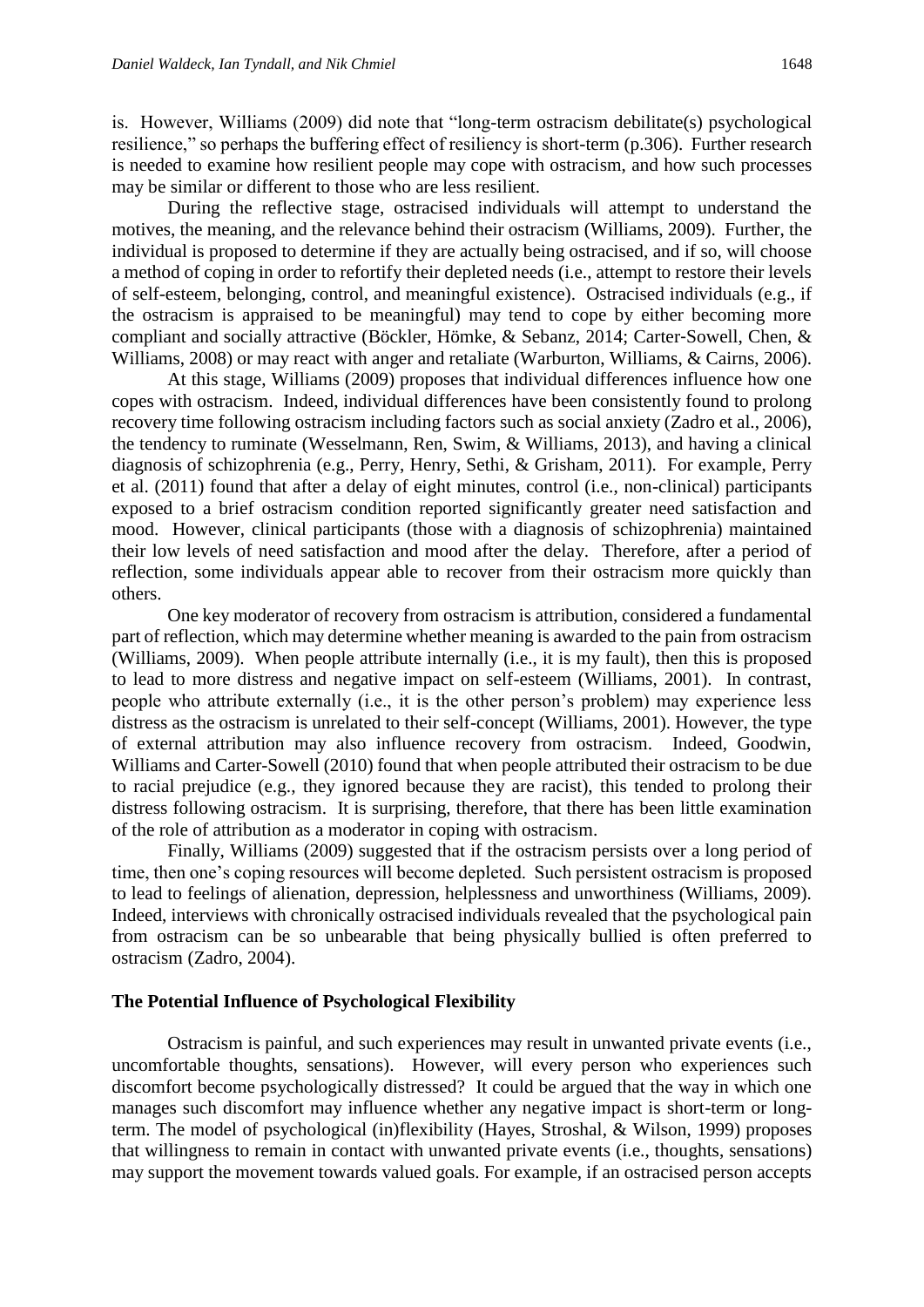is. However, Williams (2009) did note that "long-term ostracism debilitate(s) psychological resilience," so perhaps the buffering effect of resiliency is short-term (p.306). Further research is needed to examine how resilient people may cope with ostracism, and how such processes may be similar or different to those who are less resilient.

During the reflective stage, ostracised individuals will attempt to understand the motives, the meaning, and the relevance behind their ostracism (Williams, 2009). Further, the individual is proposed to determine if they are actually being ostracised, and if so, will choose a method of coping in order to refortify their depleted needs (i.e., attempt to restore their levels of self-esteem, belonging, control, and meaningful existence). Ostracised individuals (e.g., if the ostracism is appraised to be meaningful) may tend to cope by either becoming more compliant and socially attractive (Böckler, Hömke, & Sebanz, 2014; Carter-Sowell, Chen, & Williams, 2008) or may react with anger and retaliate (Warburton, Williams, & Cairns, 2006).

At this stage, Williams (2009) proposes that individual differences influence how one copes with ostracism. Indeed, individual differences have been consistently found to prolong recovery time following ostracism including factors such as social anxiety (Zadro et al., 2006), the tendency to ruminate (Wesselmann, Ren, Swim, & Williams, 2013), and having a clinical diagnosis of schizophrenia (e.g., Perry, Henry, Sethi, & Grisham, 2011). For example, Perry et al. (2011) found that after a delay of eight minutes, control (i.e., non-clinical) participants exposed to a brief ostracism condition reported significantly greater need satisfaction and mood. However, clinical participants (those with a diagnosis of schizophrenia) maintained their low levels of need satisfaction and mood after the delay. Therefore, after a period of reflection, some individuals appear able to recover from their ostracism more quickly than others.

One key moderator of recovery from ostracism is attribution, considered a fundamental part of reflection, which may determine whether meaning is awarded to the pain from ostracism (Williams, 2009). When people attribute internally (i.e., it is my fault), then this is proposed to lead to more distress and negative impact on self-esteem (Williams, 2001). In contrast, people who attribute externally (i.e., it is the other person's problem) may experience less distress as the ostracism is unrelated to their self-concept (Williams, 2001). However, the type of external attribution may also influence recovery from ostracism. Indeed, Goodwin, Williams and Carter-Sowell (2010) found that when people attributed their ostracism to be due to racial prejudice (e.g., they ignored because they are racist), this tended to prolong their distress following ostracism. It is surprising, therefore, that there has been little examination of the role of attribution as a moderator in coping with ostracism.

Finally, Williams (2009) suggested that if the ostracism persists over a long period of time, then one's coping resources will become depleted. Such persistent ostracism is proposed to lead to feelings of alienation, depression, helplessness and unworthiness (Williams, 2009). Indeed, interviews with chronically ostracised individuals revealed that the psychological pain from ostracism can be so unbearable that being physically bullied is often preferred to ostracism (Zadro, 2004).

### **The Potential Influence of Psychological Flexibility**

Ostracism is painful, and such experiences may result in unwanted private events (i.e., uncomfortable thoughts, sensations). However, will every person who experiences such discomfort become psychologically distressed? It could be argued that the way in which one manages such discomfort may influence whether any negative impact is short-term or longterm. The model of psychological (in)flexibility (Hayes, Stroshal, & Wilson, 1999) proposes that willingness to remain in contact with unwanted private events (i.e., thoughts, sensations) may support the movement towards valued goals. For example, if an ostracised person accepts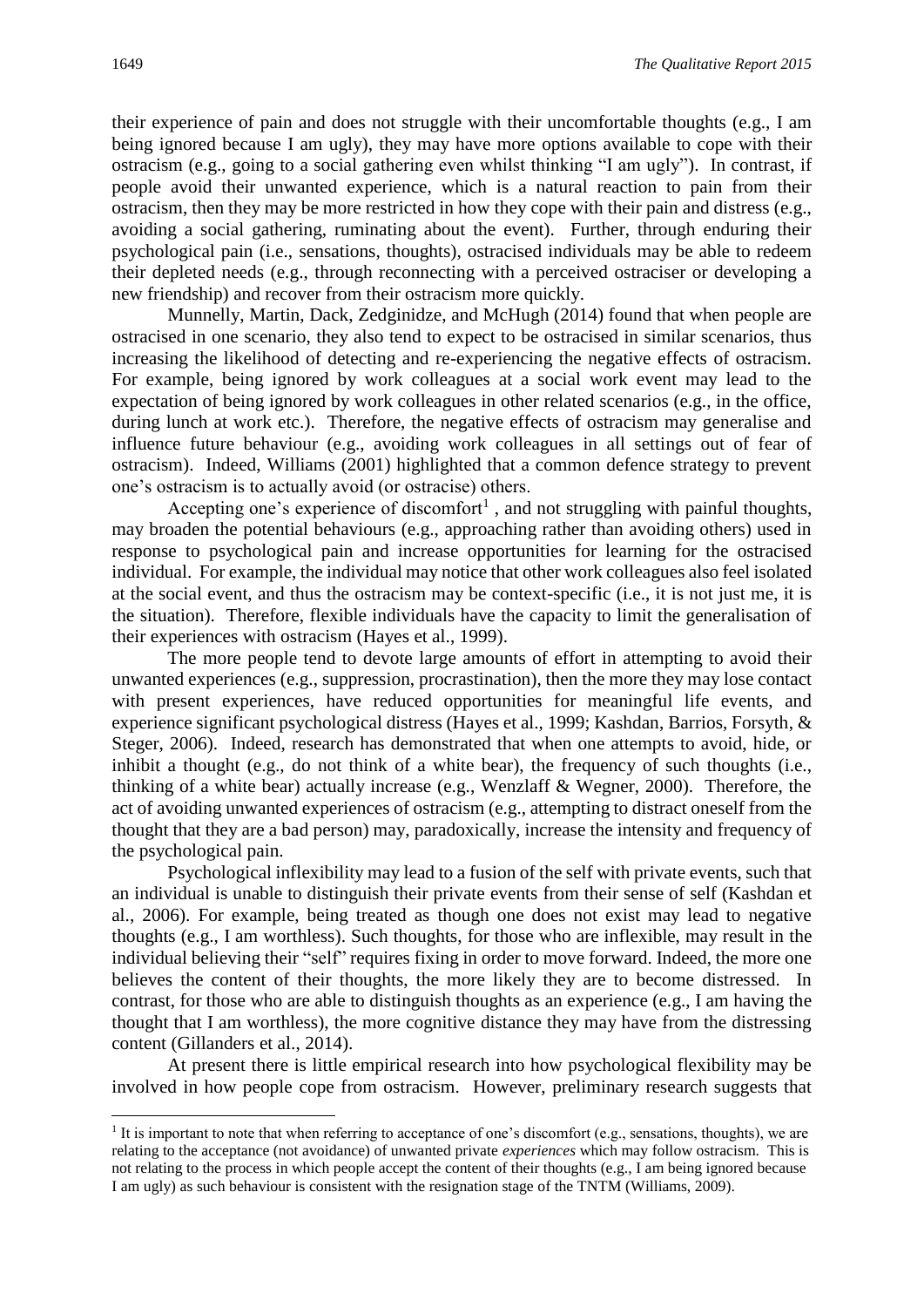their experience of pain and does not struggle with their uncomfortable thoughts (e.g., I am being ignored because I am ugly), they may have more options available to cope with their ostracism (e.g., going to a social gathering even whilst thinking "I am ugly"). In contrast, if people avoid their unwanted experience, which is a natural reaction to pain from their ostracism, then they may be more restricted in how they cope with their pain and distress (e.g., avoiding a social gathering, ruminating about the event). Further, through enduring their psychological pain (i.e., sensations, thoughts), ostracised individuals may be able to redeem their depleted needs (e.g., through reconnecting with a perceived ostraciser or developing a new friendship) and recover from their ostracism more quickly.

Munnelly, Martin, Dack, Zedginidze, and McHugh (2014) found that when people are ostracised in one scenario, they also tend to expect to be ostracised in similar scenarios, thus increasing the likelihood of detecting and re-experiencing the negative effects of ostracism. For example, being ignored by work colleagues at a social work event may lead to the expectation of being ignored by work colleagues in other related scenarios (e.g., in the office, during lunch at work etc.). Therefore, the negative effects of ostracism may generalise and influence future behaviour (e.g., avoiding work colleagues in all settings out of fear of ostracism). Indeed, Williams (2001) highlighted that a common defence strategy to prevent one's ostracism is to actually avoid (or ostracise) others.

Accepting one's experience of discomfort<sup>1</sup>, and not struggling with painful thoughts, may broaden the potential behaviours (e.g., approaching rather than avoiding others) used in response to psychological pain and increase opportunities for learning for the ostracised individual. For example, the individual may notice that other work colleagues also feel isolated at the social event, and thus the ostracism may be context-specific (i.e., it is not just me, it is the situation). Therefore, flexible individuals have the capacity to limit the generalisation of their experiences with ostracism (Hayes et al., 1999).

The more people tend to devote large amounts of effort in attempting to avoid their unwanted experiences (e.g., suppression, procrastination), then the more they may lose contact with present experiences, have reduced opportunities for meaningful life events, and experience significant psychological distress (Hayes et al., 1999; Kashdan, Barrios, Forsyth, & Steger, 2006). Indeed, research has demonstrated that when one attempts to avoid, hide, or inhibit a thought (e.g., do not think of a white bear), the frequency of such thoughts (i.e., thinking of a white bear) actually increase (e.g., Wenzlaff & Wegner, 2000). Therefore, the act of avoiding unwanted experiences of ostracism (e.g., attempting to distract oneself from the thought that they are a bad person) may, paradoxically, increase the intensity and frequency of the psychological pain.

Psychological inflexibility may lead to a fusion of the self with private events, such that an individual is unable to distinguish their private events from their sense of self (Kashdan et al., 2006). For example, being treated as though one does not exist may lead to negative thoughts (e.g., I am worthless). Such thoughts, for those who are inflexible, may result in the individual believing their "self" requires fixing in order to move forward. Indeed, the more one believes the content of their thoughts, the more likely they are to become distressed. In contrast, for those who are able to distinguish thoughts as an experience (e.g., I am having the thought that I am worthless), the more cognitive distance they may have from the distressing content (Gillanders et al., 2014).

At present there is little empirical research into how psychological flexibility may be involved in how people cope from ostracism. However, preliminary research suggests that

**.** 

<sup>1</sup> It is important to note that when referring to acceptance of one's discomfort (e.g., sensations, thoughts), we are relating to the acceptance (not avoidance) of unwanted private *experiences* which may follow ostracism. This is not relating to the process in which people accept the content of their thoughts (e.g., I am being ignored because I am ugly) as such behaviour is consistent with the resignation stage of the TNTM (Williams, 2009).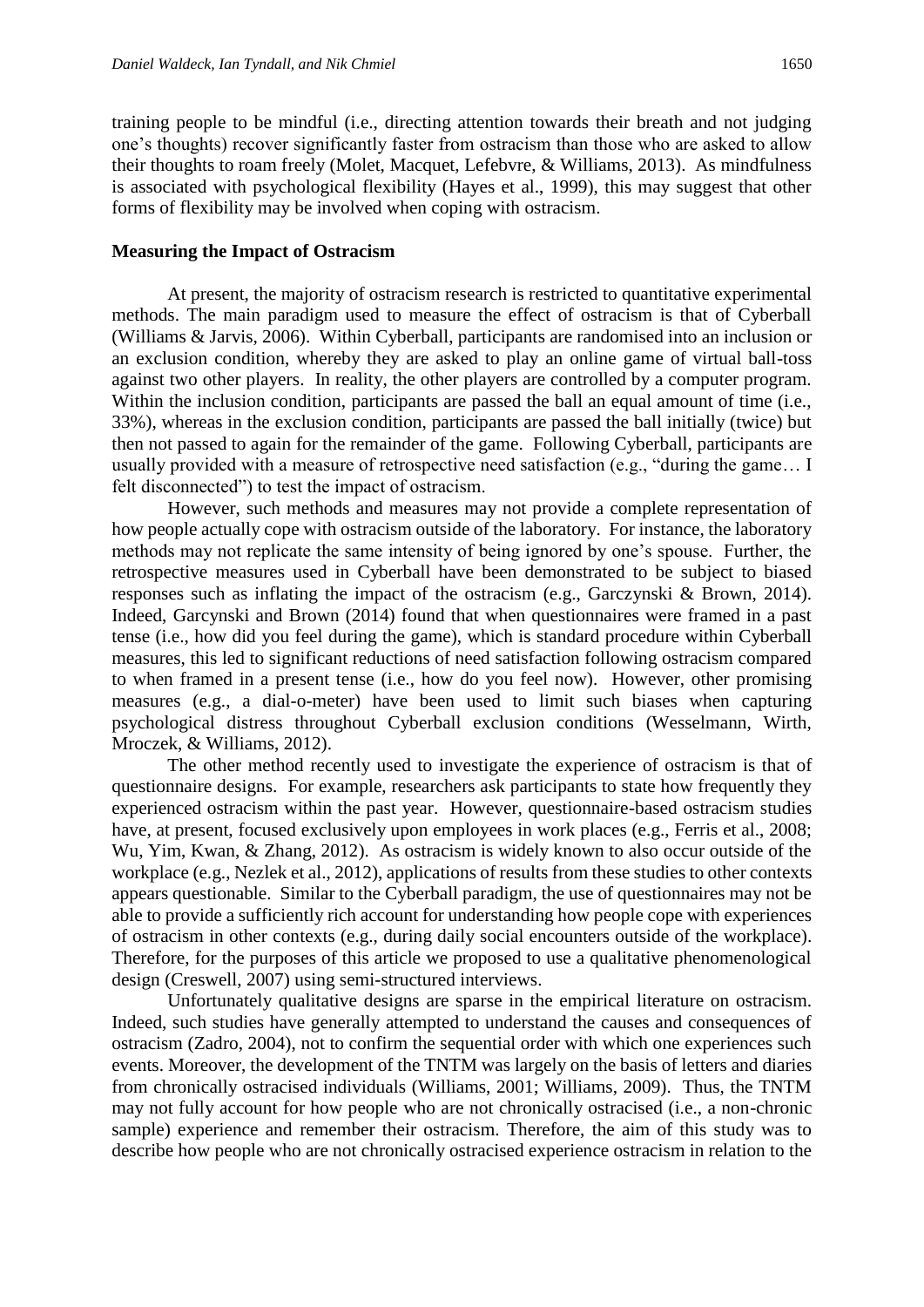training people to be mindful (i.e., directing attention towards their breath and not judging one's thoughts) recover significantly faster from ostracism than those who are asked to allow their thoughts to roam freely (Molet, Macquet, Lefebvre, & Williams, 2013). As mindfulness is associated with psychological flexibility (Hayes et al., 1999), this may suggest that other forms of flexibility may be involved when coping with ostracism.

#### **Measuring the Impact of Ostracism**

At present, the majority of ostracism research is restricted to quantitative experimental methods. The main paradigm used to measure the effect of ostracism is that of Cyberball (Williams & Jarvis, 2006). Within Cyberball, participants are randomised into an inclusion or an exclusion condition, whereby they are asked to play an online game of virtual ball-toss against two other players. In reality, the other players are controlled by a computer program. Within the inclusion condition, participants are passed the ball an equal amount of time (i.e., 33%), whereas in the exclusion condition, participants are passed the ball initially (twice) but then not passed to again for the remainder of the game. Following Cyberball, participants are usually provided with a measure of retrospective need satisfaction (e.g., "during the game… I felt disconnected") to test the impact of ostracism.

However, such methods and measures may not provide a complete representation of how people actually cope with ostracism outside of the laboratory. For instance, the laboratory methods may not replicate the same intensity of being ignored by one's spouse. Further, the retrospective measures used in Cyberball have been demonstrated to be subject to biased responses such as inflating the impact of the ostracism (e.g., Garczynski & Brown, 2014). Indeed, Garcynski and Brown (2014) found that when questionnaires were framed in a past tense (i.e., how did you feel during the game), which is standard procedure within Cyberball measures, this led to significant reductions of need satisfaction following ostracism compared to when framed in a present tense (i.e., how do you feel now). However, other promising measures (e.g., a dial-o-meter) have been used to limit such biases when capturing psychological distress throughout Cyberball exclusion conditions (Wesselmann, Wirth, Mroczek, & Williams, 2012).

The other method recently used to investigate the experience of ostracism is that of questionnaire designs. For example, researchers ask participants to state how frequently they experienced ostracism within the past year. However, questionnaire-based ostracism studies have, at present, focused exclusively upon employees in work places (e.g., Ferris et al., 2008; Wu, Yim, Kwan, & Zhang, 2012). As ostracism is widely known to also occur outside of the workplace (e.g., Nezlek et al., 2012), applications of results from these studies to other contexts appears questionable. Similar to the Cyberball paradigm, the use of questionnaires may not be able to provide a sufficiently rich account for understanding how people cope with experiences of ostracism in other contexts (e.g., during daily social encounters outside of the workplace). Therefore, for the purposes of this article we proposed to use a qualitative phenomenological design (Creswell, 2007) using semi-structured interviews.

Unfortunately qualitative designs are sparse in the empirical literature on ostracism. Indeed, such studies have generally attempted to understand the causes and consequences of ostracism (Zadro, 2004), not to confirm the sequential order with which one experiences such events. Moreover, the development of the TNTM was largely on the basis of letters and diaries from chronically ostracised individuals (Williams, 2001; Williams, 2009). Thus, the TNTM may not fully account for how people who are not chronically ostracised (i.e., a non-chronic sample) experience and remember their ostracism. Therefore, the aim of this study was to describe how people who are not chronically ostracised experience ostracism in relation to the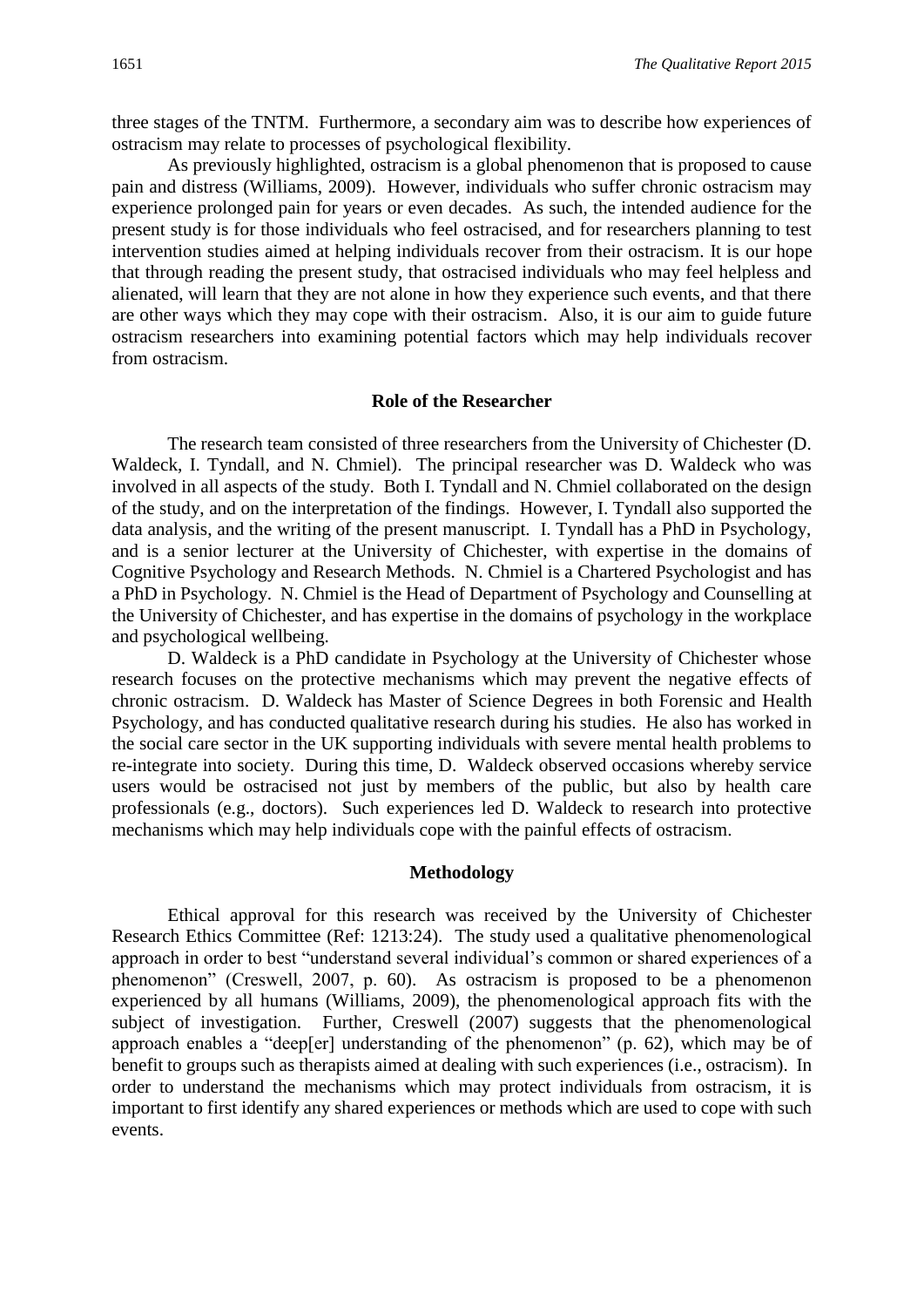three stages of the TNTM. Furthermore, a secondary aim was to describe how experiences of ostracism may relate to processes of psychological flexibility.

As previously highlighted, ostracism is a global phenomenon that is proposed to cause pain and distress (Williams, 2009). However, individuals who suffer chronic ostracism may experience prolonged pain for years or even decades. As such, the intended audience for the present study is for those individuals who feel ostracised, and for researchers planning to test intervention studies aimed at helping individuals recover from their ostracism. It is our hope that through reading the present study, that ostracised individuals who may feel helpless and alienated, will learn that they are not alone in how they experience such events, and that there are other ways which they may cope with their ostracism. Also, it is our aim to guide future ostracism researchers into examining potential factors which may help individuals recover from ostracism.

#### **Role of the Researcher**

The research team consisted of three researchers from the University of Chichester (D. Waldeck, I. Tyndall, and N. Chmiel). The principal researcher was D. Waldeck who was involved in all aspects of the study. Both I. Tyndall and N. Chmiel collaborated on the design of the study, and on the interpretation of the findings. However, I. Tyndall also supported the data analysis, and the writing of the present manuscript. I. Tyndall has a PhD in Psychology, and is a senior lecturer at the University of Chichester, with expertise in the domains of Cognitive Psychology and Research Methods. N. Chmiel is a Chartered Psychologist and has a PhD in Psychology. N. Chmiel is the Head of Department of Psychology and Counselling at the University of Chichester, and has expertise in the domains of psychology in the workplace and psychological wellbeing.

D. Waldeck is a PhD candidate in Psychology at the University of Chichester whose research focuses on the protective mechanisms which may prevent the negative effects of chronic ostracism. D. Waldeck has Master of Science Degrees in both Forensic and Health Psychology, and has conducted qualitative research during his studies. He also has worked in the social care sector in the UK supporting individuals with severe mental health problems to re-integrate into society. During this time, D. Waldeck observed occasions whereby service users would be ostracised not just by members of the public, but also by health care professionals (e.g., doctors). Such experiences led D. Waldeck to research into protective mechanisms which may help individuals cope with the painful effects of ostracism.

#### **Methodology**

Ethical approval for this research was received by the University of Chichester Research Ethics Committee (Ref: 1213:24). The study used a qualitative phenomenological approach in order to best "understand several individual's common or shared experiences of a phenomenon" (Creswell, 2007, p. 60). As ostracism is proposed to be a phenomenon experienced by all humans (Williams, 2009), the phenomenological approach fits with the subject of investigation. Further, Creswell (2007) suggests that the phenomenological approach enables a "deep[er] understanding of the phenomenon" (p. 62), which may be of benefit to groups such as therapists aimed at dealing with such experiences (i.e., ostracism). In order to understand the mechanisms which may protect individuals from ostracism, it is important to first identify any shared experiences or methods which are used to cope with such events.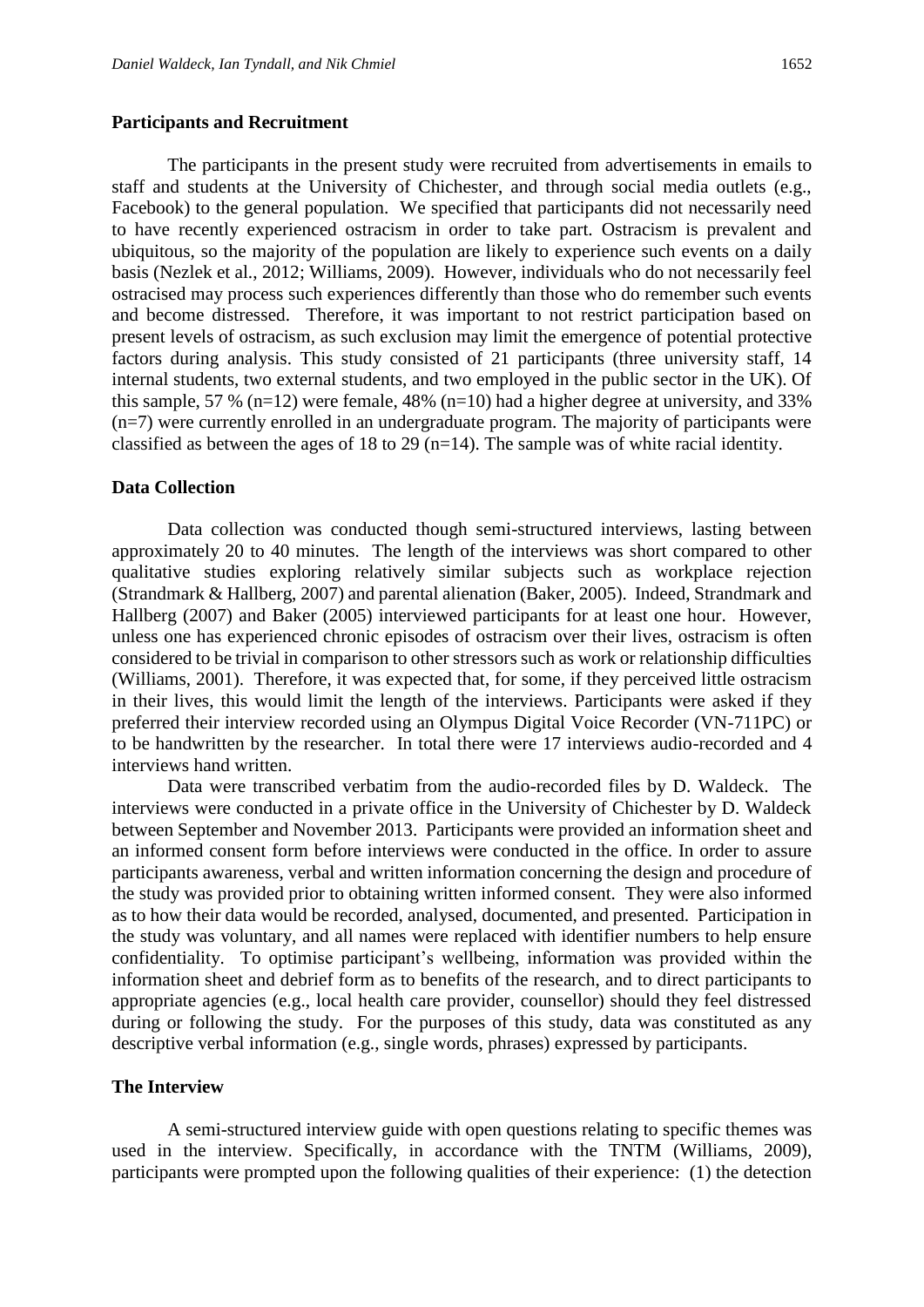#### **Participants and Recruitment**

The participants in the present study were recruited from advertisements in emails to staff and students at the University of Chichester, and through social media outlets (e.g., Facebook) to the general population. We specified that participants did not necessarily need to have recently experienced ostracism in order to take part. Ostracism is prevalent and ubiquitous, so the majority of the population are likely to experience such events on a daily basis (Nezlek et al., 2012; Williams, 2009). However, individuals who do not necessarily feel ostracised may process such experiences differently than those who do remember such events and become distressed. Therefore, it was important to not restrict participation based on present levels of ostracism, as such exclusion may limit the emergence of potential protective factors during analysis. This study consisted of 21 participants (three university staff, 14 internal students, two external students, and two employed in the public sector in the UK). Of this sample, 57 % (n=12) were female, 48% (n=10) had a higher degree at university, and 33% (n=7) were currently enrolled in an undergraduate program. The majority of participants were classified as between the ages of 18 to 29 (n=14). The sample was of white racial identity.

#### **Data Collection**

Data collection was conducted though semi-structured interviews, lasting between approximately 20 to 40 minutes. The length of the interviews was short compared to other qualitative studies exploring relatively similar subjects such as workplace rejection (Strandmark & Hallberg, 2007) and parental alienation (Baker, 2005). Indeed, Strandmark and Hallberg (2007) and Baker (2005) interviewed participants for at least one hour. However, unless one has experienced chronic episodes of ostracism over their lives, ostracism is often considered to be trivial in comparison to other stressors such as work or relationship difficulties (Williams, 2001). Therefore, it was expected that, for some, if they perceived little ostracism in their lives, this would limit the length of the interviews. Participants were asked if they preferred their interview recorded using an Olympus Digital Voice Recorder (VN-711PC) or to be handwritten by the researcher. In total there were 17 interviews audio-recorded and 4 interviews hand written.

Data were transcribed verbatim from the audio-recorded files by D. Waldeck. The interviews were conducted in a private office in the University of Chichester by D. Waldeck between September and November 2013. Participants were provided an information sheet and an informed consent form before interviews were conducted in the office. In order to assure participants awareness, verbal and written information concerning the design and procedure of the study was provided prior to obtaining written informed consent. They were also informed as to how their data would be recorded, analysed, documented, and presented. Participation in the study was voluntary, and all names were replaced with identifier numbers to help ensure confidentiality. To optimise participant's wellbeing, information was provided within the information sheet and debrief form as to benefits of the research, and to direct participants to appropriate agencies (e.g., local health care provider, counsellor) should they feel distressed during or following the study. For the purposes of this study, data was constituted as any descriptive verbal information (e.g., single words, phrases) expressed by participants.

#### **The Interview**

A semi-structured interview guide with open questions relating to specific themes was used in the interview. Specifically, in accordance with the TNTM (Williams, 2009), participants were prompted upon the following qualities of their experience: (1) the detection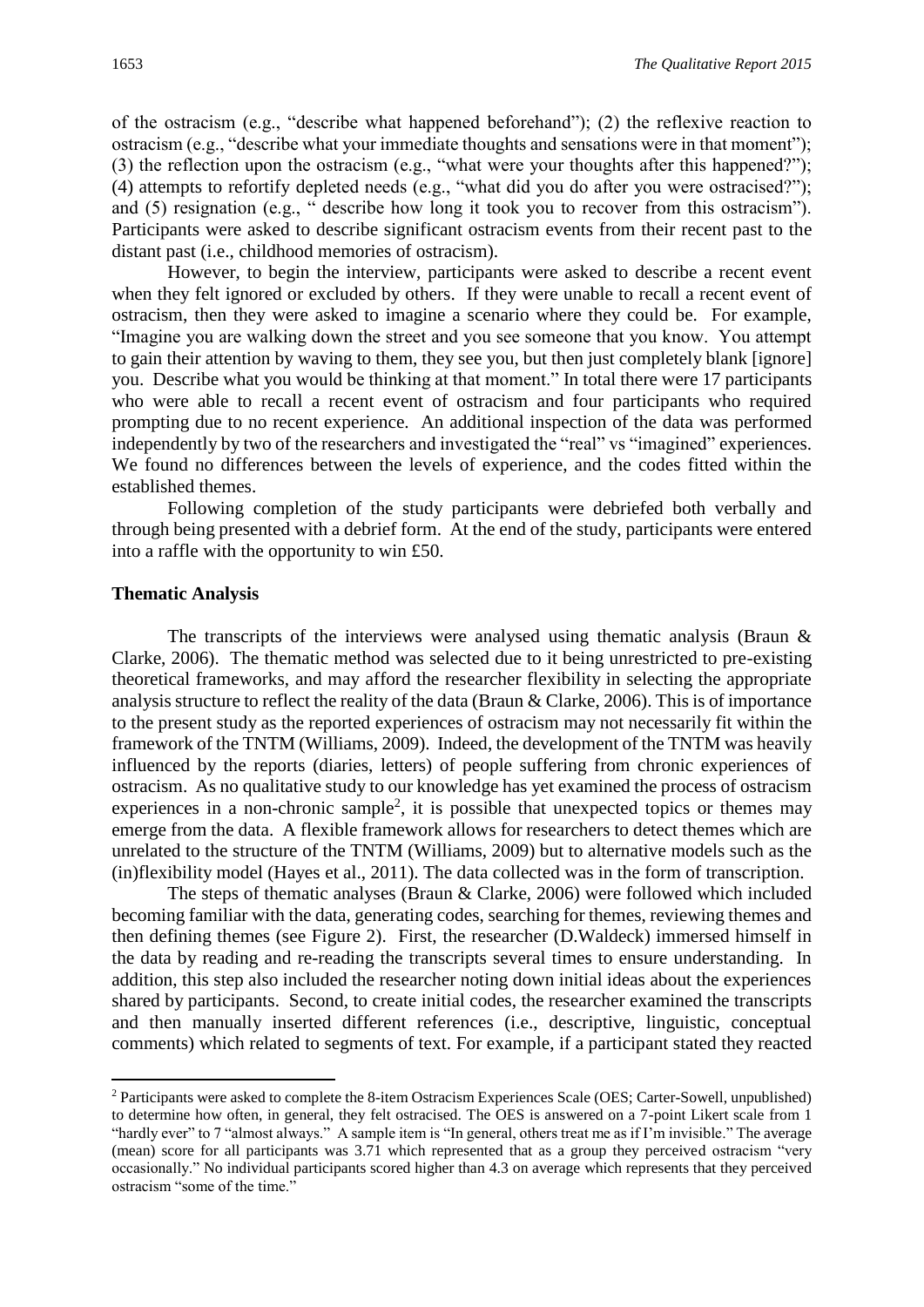of the ostracism (e.g., "describe what happened beforehand"); (2) the reflexive reaction to ostracism (e.g., "describe what your immediate thoughts and sensations were in that moment"); (3) the reflection upon the ostracism (e.g., "what were your thoughts after this happened?"); (4) attempts to refortify depleted needs (e.g., "what did you do after you were ostracised?"); and (5) resignation (e.g., " describe how long it took you to recover from this ostracism"). Participants were asked to describe significant ostracism events from their recent past to the distant past (i.e., childhood memories of ostracism).

However, to begin the interview, participants were asked to describe a recent event when they felt ignored or excluded by others. If they were unable to recall a recent event of ostracism, then they were asked to imagine a scenario where they could be. For example, "Imagine you are walking down the street and you see someone that you know. You attempt to gain their attention by waving to them, they see you, but then just completely blank [ignore] you. Describe what you would be thinking at that moment." In total there were 17 participants who were able to recall a recent event of ostracism and four participants who required prompting due to no recent experience. An additional inspection of the data was performed independently by two of the researchers and investigated the "real" vs "imagined" experiences. We found no differences between the levels of experience, and the codes fitted within the established themes.

Following completion of the study participants were debriefed both verbally and through being presented with a debrief form. At the end of the study, participants were entered into a raffle with the opportunity to win £50.

#### **Thematic Analysis**

1

The transcripts of the interviews were analysed using thematic analysis (Braun & Clarke, 2006). The thematic method was selected due to it being unrestricted to pre-existing theoretical frameworks, and may afford the researcher flexibility in selecting the appropriate analysis structure to reflect the reality of the data (Braun & Clarke, 2006). This is of importance to the present study as the reported experiences of ostracism may not necessarily fit within the framework of the TNTM (Williams, 2009). Indeed, the development of the TNTM was heavily influenced by the reports (diaries, letters) of people suffering from chronic experiences of ostracism. As no qualitative study to our knowledge has yet examined the process of ostracism experiences in a non-chronic sample<sup>2</sup>, it is possible that unexpected topics or themes may emerge from the data. A flexible framework allows for researchers to detect themes which are unrelated to the structure of the TNTM (Williams, 2009) but to alternative models such as the (in)flexibility model (Hayes et al., 2011). The data collected was in the form of transcription.

The steps of thematic analyses (Braun & Clarke, 2006) were followed which included becoming familiar with the data, generating codes, searching for themes, reviewing themes and then defining themes (see Figure 2). First, the researcher (D.Waldeck) immersed himself in the data by reading and re-reading the transcripts several times to ensure understanding. In addition, this step also included the researcher noting down initial ideas about the experiences shared by participants. Second, to create initial codes, the researcher examined the transcripts and then manually inserted different references (i.e., descriptive, linguistic, conceptual comments) which related to segments of text. For example, if a participant stated they reacted

<sup>2</sup> Participants were asked to complete the 8-item Ostracism Experiences Scale (OES; Carter-Sowell, unpublished) to determine how often, in general, they felt ostracised. The OES is answered on a 7-point Likert scale from 1 "hardly ever" to 7 "almost always." A sample item is "In general, others treat me as if I'm invisible." The average (mean) score for all participants was 3.71 which represented that as a group they perceived ostracism "very occasionally." No individual participants scored higher than 4.3 on average which represents that they perceived ostracism "some of the time."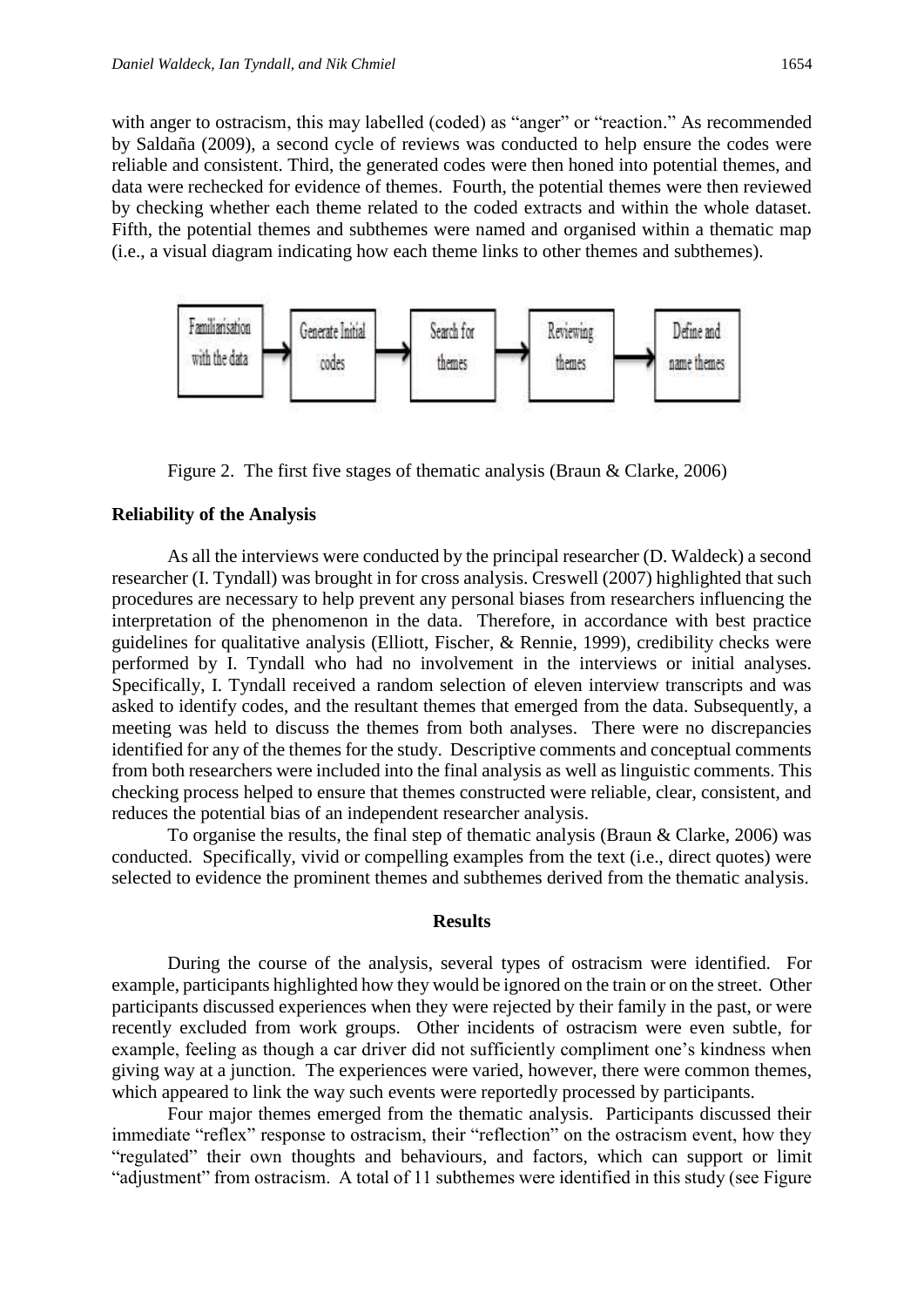with anger to ostracism, this may labelled (coded) as "anger" or "reaction." As recommended by Saldaña (2009), a second cycle of reviews was conducted to help ensure the codes were reliable and consistent. Third, the generated codes were then honed into potential themes, and data were rechecked for evidence of themes. Fourth, the potential themes were then reviewed by checking whether each theme related to the coded extracts and within the whole dataset. Fifth, the potential themes and subthemes were named and organised within a thematic map (i.e., a visual diagram indicating how each theme links to other themes and subthemes).



Figure 2. The first five stages of thematic analysis (Braun & Clarke, 2006)

#### **Reliability of the Analysis**

As all the interviews were conducted by the principal researcher (D. Waldeck) a second researcher (I. Tyndall) was brought in for cross analysis. Creswell (2007) highlighted that such procedures are necessary to help prevent any personal biases from researchers influencing the interpretation of the phenomenon in the data. Therefore, in accordance with best practice guidelines for qualitative analysis (Elliott, Fischer, & Rennie, 1999), credibility checks were performed by I. Tyndall who had no involvement in the interviews or initial analyses. Specifically, I. Tyndall received a random selection of eleven interview transcripts and was asked to identify codes, and the resultant themes that emerged from the data. Subsequently, a meeting was held to discuss the themes from both analyses. There were no discrepancies identified for any of the themes for the study. Descriptive comments and conceptual comments from both researchers were included into the final analysis as well as linguistic comments. This checking process helped to ensure that themes constructed were reliable, clear, consistent, and reduces the potential bias of an independent researcher analysis.

To organise the results, the final step of thematic analysis (Braun & Clarke, 2006) was conducted. Specifically, vivid or compelling examples from the text (i.e., direct quotes) were selected to evidence the prominent themes and subthemes derived from the thematic analysis.

#### **Results**

During the course of the analysis, several types of ostracism were identified. For example, participants highlighted how they would be ignored on the train or on the street. Other participants discussed experiences when they were rejected by their family in the past, or were recently excluded from work groups. Other incidents of ostracism were even subtle, for example, feeling as though a car driver did not sufficiently compliment one's kindness when giving way at a junction. The experiences were varied, however, there were common themes, which appeared to link the way such events were reportedly processed by participants.

Four major themes emerged from the thematic analysis. Participants discussed their immediate "reflex" response to ostracism, their "reflection" on the ostracism event, how they "regulated" their own thoughts and behaviours, and factors, which can support or limit "adjustment" from ostracism. A total of 11 subthemes were identified in this study (see Figure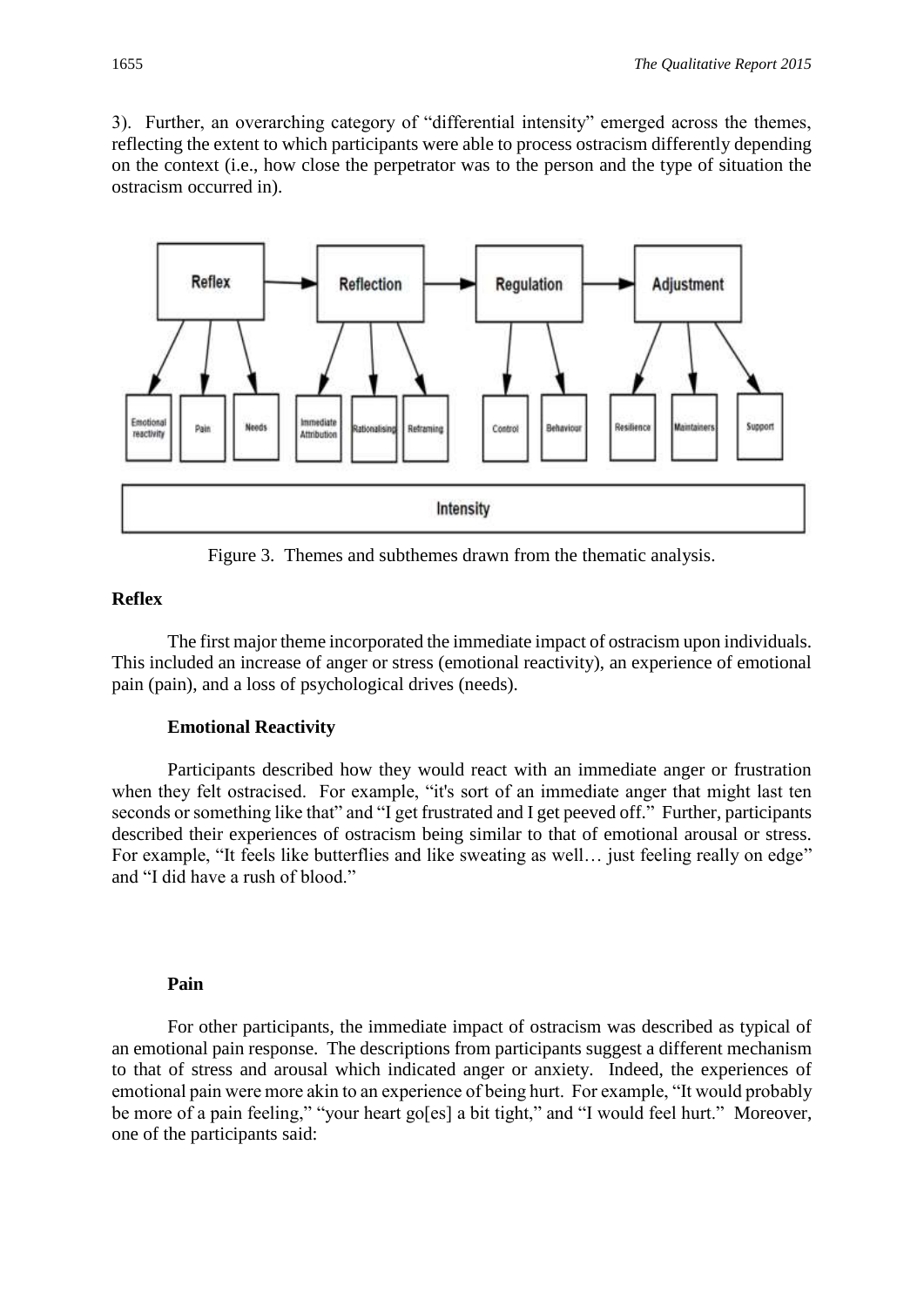3). Further, an overarching category of "differential intensity" emerged across the themes, reflecting the extent to which participants were able to process ostracism differently depending on the context (i.e., how close the perpetrator was to the person and the type of situation the ostracism occurred in).



Figure 3. Themes and subthemes drawn from the thematic analysis.

### **Reflex**

The first major theme incorporated the immediate impact of ostracism upon individuals. This included an increase of anger or stress (emotional reactivity), an experience of emotional pain (pain), and a loss of psychological drives (needs).

#### **Emotional Reactivity**

Participants described how they would react with an immediate anger or frustration when they felt ostracised. For example, "it's sort of an immediate anger that might last ten seconds or something like that" and "I get frustrated and I get peeved off." Further, participants described their experiences of ostracism being similar to that of emotional arousal or stress. For example, "It feels like butterflies and like sweating as well... just feeling really on edge" and "I did have a rush of blood."

#### **Pain**

For other participants, the immediate impact of ostracism was described as typical of an emotional pain response. The descriptions from participants suggest a different mechanism to that of stress and arousal which indicated anger or anxiety. Indeed, the experiences of emotional pain were more akin to an experience of being hurt. For example, "It would probably be more of a pain feeling." "your heart go[es] a bit tight." and "I would feel hurt." Moreover, one of the participants said: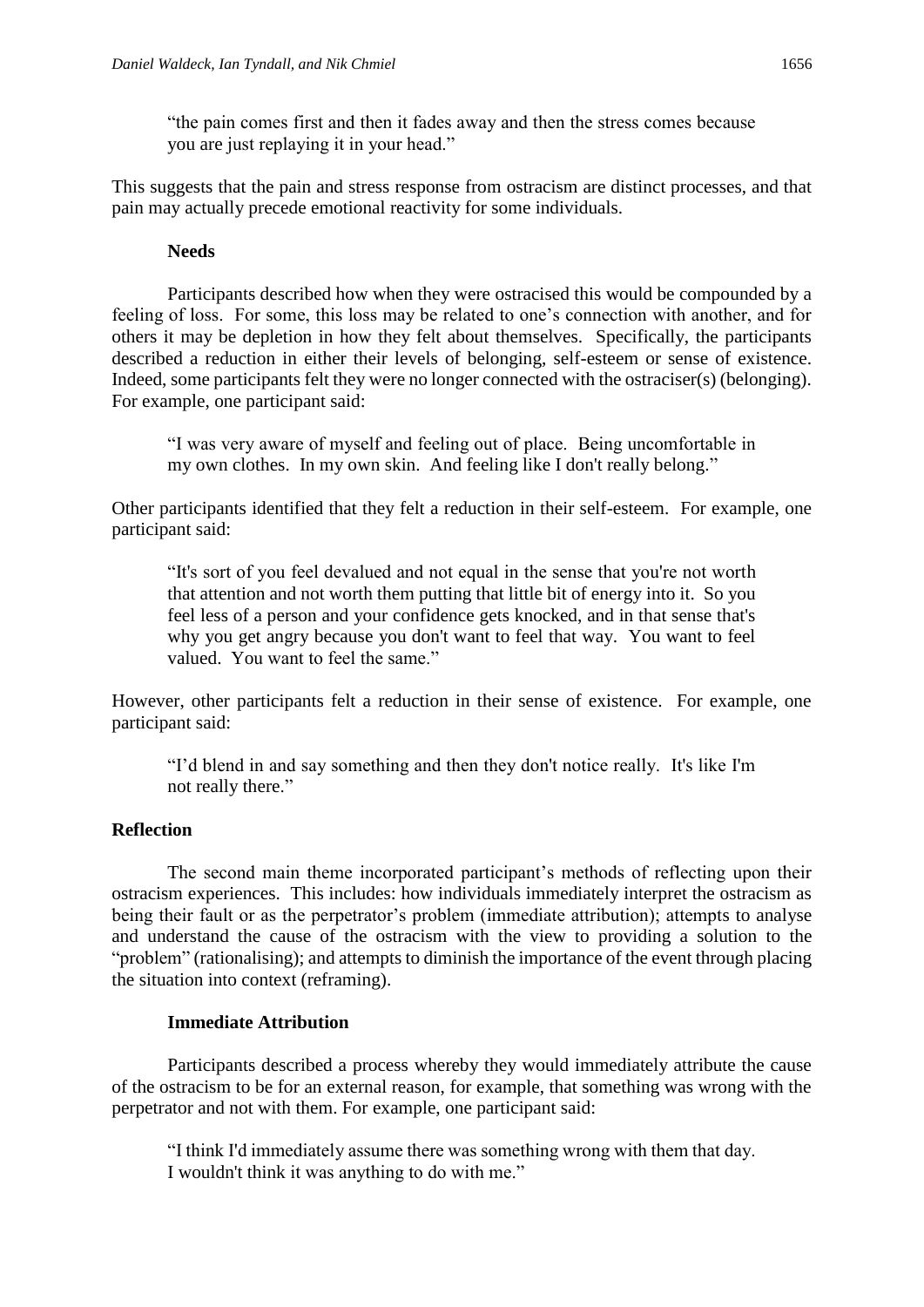"the pain comes first and then it fades away and then the stress comes because you are just replaying it in your head."

This suggests that the pain and stress response from ostracism are distinct processes, and that pain may actually precede emotional reactivity for some individuals.

### **Needs**

Participants described how when they were ostracised this would be compounded by a feeling of loss. For some, this loss may be related to one's connection with another, and for others it may be depletion in how they felt about themselves. Specifically, the participants described a reduction in either their levels of belonging, self-esteem or sense of existence. Indeed, some participants felt they were no longer connected with the ostraciser(s) (belonging). For example, one participant said:

"I was very aware of myself and feeling out of place. Being uncomfortable in my own clothes. In my own skin. And feeling like I don't really belong."

Other participants identified that they felt a reduction in their self-esteem. For example, one participant said:

"It's sort of you feel devalued and not equal in the sense that you're not worth that attention and not worth them putting that little bit of energy into it. So you feel less of a person and your confidence gets knocked, and in that sense that's why you get angry because you don't want to feel that way. You want to feel valued. You want to feel the same."

However, other participants felt a reduction in their sense of existence. For example, one participant said:

"I'd blend in and say something and then they don't notice really. It's like I'm not really there."

## **Reflection**

The second main theme incorporated participant's methods of reflecting upon their ostracism experiences. This includes: how individuals immediately interpret the ostracism as being their fault or as the perpetrator's problem (immediate attribution); attempts to analyse and understand the cause of the ostracism with the view to providing a solution to the "problem" (rationalising); and attempts to diminish the importance of the event through placing the situation into context (reframing).

#### **Immediate Attribution**

Participants described a process whereby they would immediately attribute the cause of the ostracism to be for an external reason, for example, that something was wrong with the perpetrator and not with them. For example, one participant said:

"I think I'd immediately assume there was something wrong with them that day. I wouldn't think it was anything to do with me."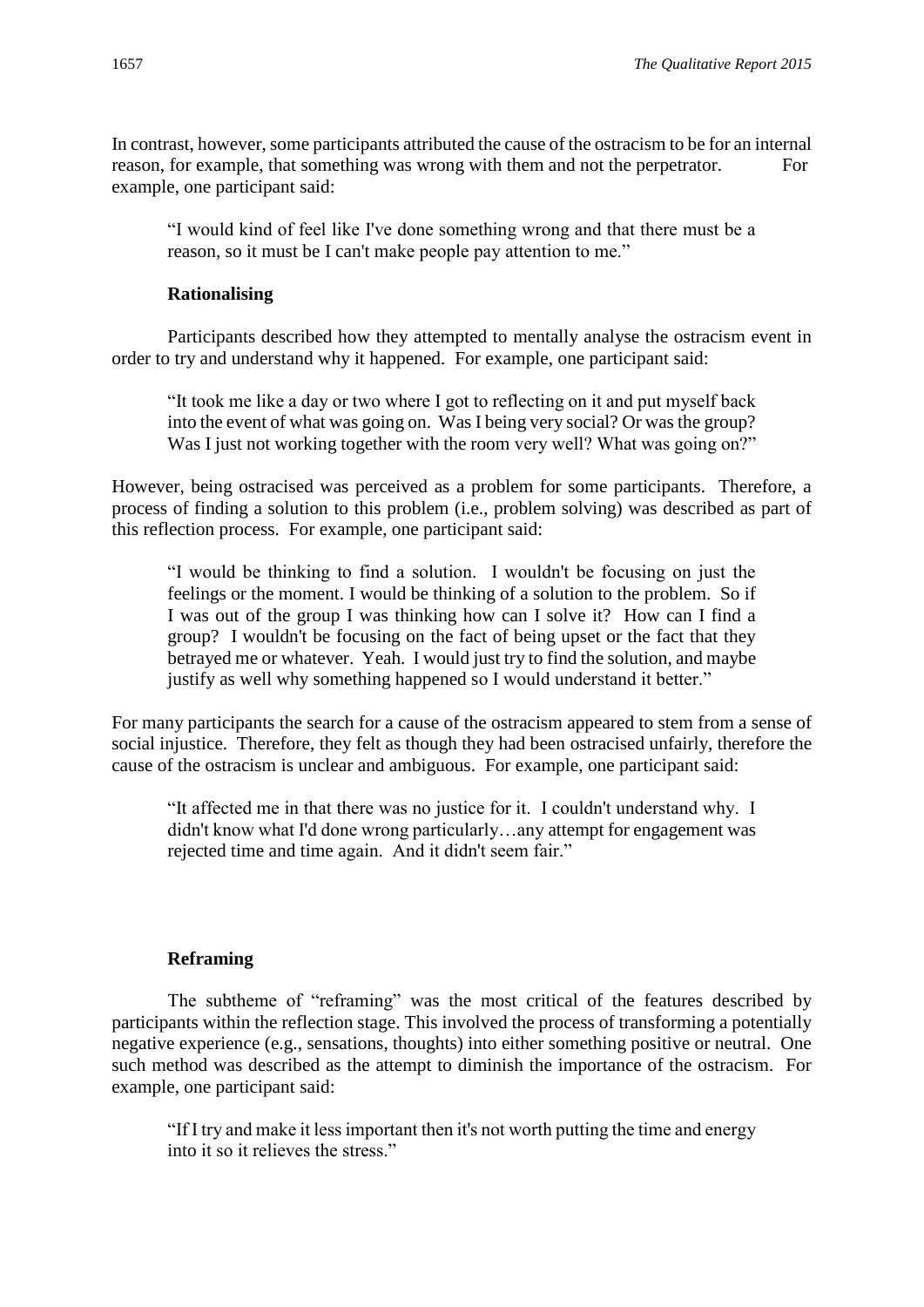In contrast, however, some participants attributed the cause of the ostracism to be for an internal reason, for example, that something was wrong with them and not the perpetrator. For example, one participant said:

"I would kind of feel like I've done something wrong and that there must be a reason, so it must be I can't make people pay attention to me."

# **Rationalising**

Participants described how they attempted to mentally analyse the ostracism event in order to try and understand why it happened. For example, one participant said:

"It took me like a day or two where I got to reflecting on it and put myself back into the event of what was going on. Was I being very social? Or was the group? Was I just not working together with the room very well? What was going on?"

However, being ostracised was perceived as a problem for some participants. Therefore, a process of finding a solution to this problem (i.e., problem solving) was described as part of this reflection process. For example, one participant said:

"I would be thinking to find a solution. I wouldn't be focusing on just the feelings or the moment. I would be thinking of a solution to the problem. So if I was out of the group I was thinking how can I solve it? How can I find a group? I wouldn't be focusing on the fact of being upset or the fact that they betrayed me or whatever. Yeah. I would just try to find the solution, and maybe justify as well why something happened so I would understand it better."

For many participants the search for a cause of the ostracism appeared to stem from a sense of social injustice. Therefore, they felt as though they had been ostracised unfairly, therefore the cause of the ostracism is unclear and ambiguous. For example, one participant said:

"It affected me in that there was no justice for it. I couldn't understand why. I didn't know what I'd done wrong particularly…any attempt for engagement was rejected time and time again. And it didn't seem fair."

# **Reframing**

The subtheme of "reframing" was the most critical of the features described by participants within the reflection stage. This involved the process of transforming a potentially negative experience (e.g., sensations, thoughts) into either something positive or neutral. One such method was described as the attempt to diminish the importance of the ostracism. For example, one participant said:

"If I try and make it less important then it's not worth putting the time and energy into it so it relieves the stress."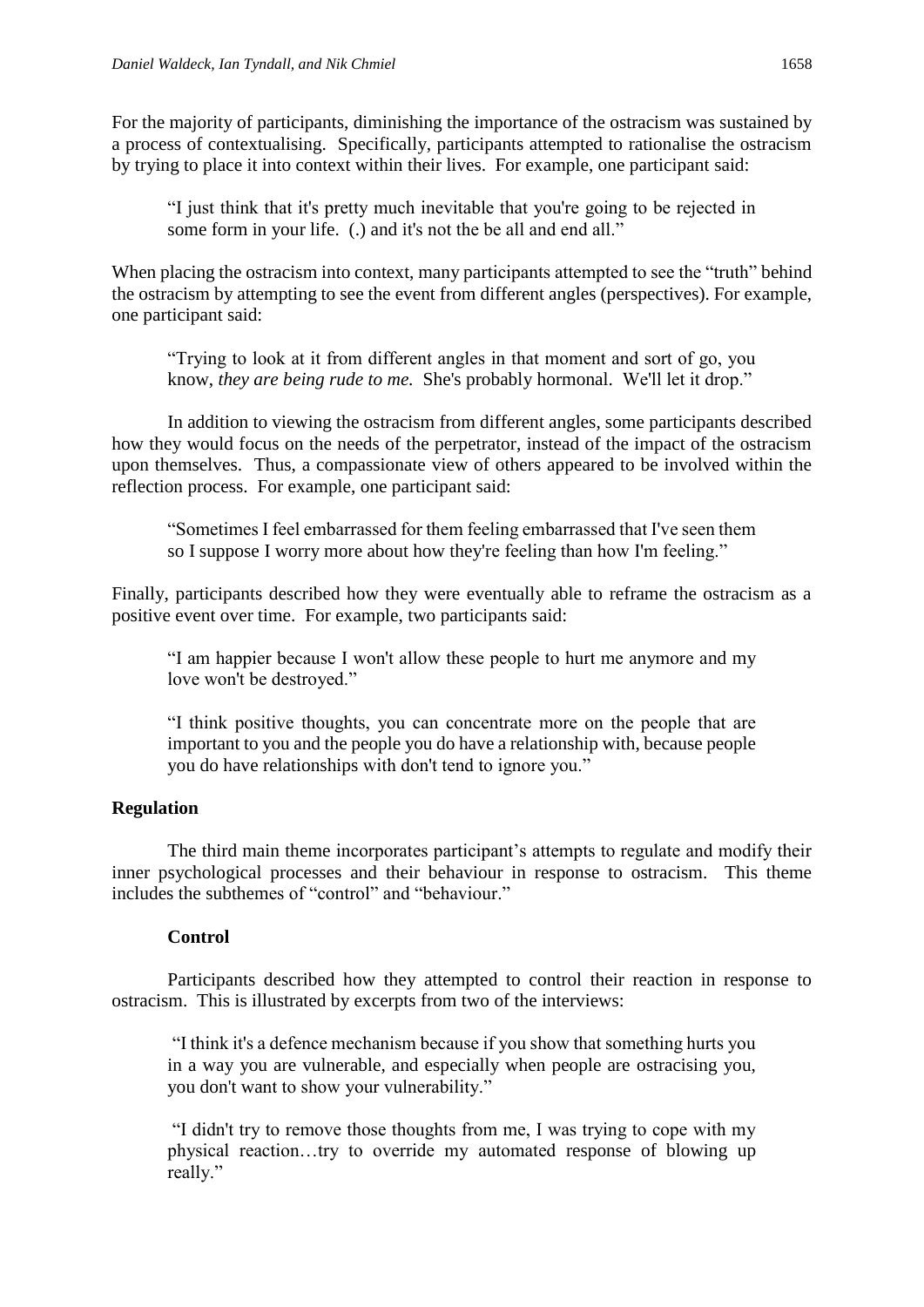For the majority of participants, diminishing the importance of the ostracism was sustained by a process of contextualising. Specifically, participants attempted to rationalise the ostracism by trying to place it into context within their lives. For example, one participant said:

"I just think that it's pretty much inevitable that you're going to be rejected in some form in your life. (.) and it's not the be all and end all."

When placing the ostracism into context, many participants attempted to see the "truth" behind the ostracism by attempting to see the event from different angles (perspectives). For example, one participant said:

"Trying to look at it from different angles in that moment and sort of go, you know, *they are being rude to me.* She's probably hormonal. We'll let it drop."

In addition to viewing the ostracism from different angles, some participants described how they would focus on the needs of the perpetrator, instead of the impact of the ostracism upon themselves. Thus, a compassionate view of others appeared to be involved within the reflection process. For example, one participant said:

"Sometimes I feel embarrassed for them feeling embarrassed that I've seen them so I suppose I worry more about how they're feeling than how I'm feeling."

Finally, participants described how they were eventually able to reframe the ostracism as a positive event over time. For example, two participants said:

"I am happier because I won't allow these people to hurt me anymore and my love won't be destroyed."

"I think positive thoughts, you can concentrate more on the people that are important to you and the people you do have a relationship with, because people you do have relationships with don't tend to ignore you."

# **Regulation**

The third main theme incorporates participant's attempts to regulate and modify their inner psychological processes and their behaviour in response to ostracism. This theme includes the subthemes of "control" and "behaviour"

# **Control**

Participants described how they attempted to control their reaction in response to ostracism. This is illustrated by excerpts from two of the interviews:

"I think it's a defence mechanism because if you show that something hurts you in a way you are vulnerable, and especially when people are ostracising you, you don't want to show your vulnerability."

"I didn't try to remove those thoughts from me, I was trying to cope with my physical reaction…try to override my automated response of blowing up really."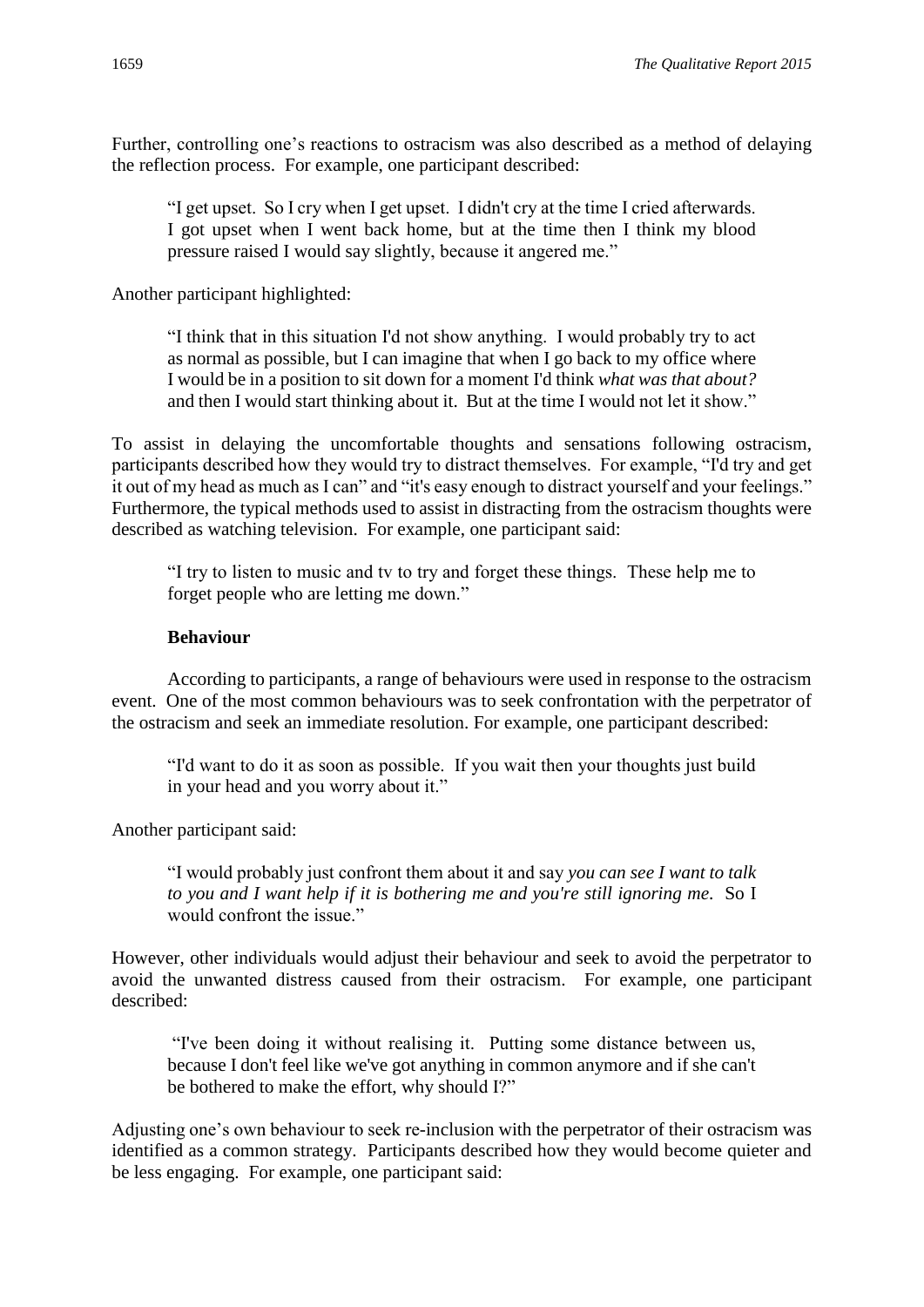Further, controlling one's reactions to ostracism was also described as a method of delaying the reflection process. For example, one participant described:

"I get upset. So I cry when I get upset. I didn't cry at the time I cried afterwards. I got upset when I went back home, but at the time then I think my blood pressure raised I would say slightly, because it angered me."

Another participant highlighted:

"I think that in this situation I'd not show anything. I would probably try to act as normal as possible, but I can imagine that when I go back to my office where I would be in a position to sit down for a moment I'd think *what was that about?* and then I would start thinking about it. But at the time I would not let it show."

To assist in delaying the uncomfortable thoughts and sensations following ostracism, participants described how they would try to distract themselves. For example, "I'd try and get it out of my head as much as I can" and "it's easy enough to distract yourself and your feelings." Furthermore, the typical methods used to assist in distracting from the ostracism thoughts were described as watching television. For example, one participant said:

"I try to listen to music and tv to try and forget these things. These help me to forget people who are letting me down."

# **Behaviour**

According to participants, a range of behaviours were used in response to the ostracism event. One of the most common behaviours was to seek confrontation with the perpetrator of the ostracism and seek an immediate resolution. For example, one participant described:

"I'd want to do it as soon as possible. If you wait then your thoughts just build in your head and you worry about it."

Another participant said:

"I would probably just confront them about it and say *you can see I want to talk to you and I want help if it is bothering me and you're still ignoring me.* So I would confront the issue."

However, other individuals would adjust their behaviour and seek to avoid the perpetrator to avoid the unwanted distress caused from their ostracism. For example, one participant described:

"I've been doing it without realising it. Putting some distance between us, because I don't feel like we've got anything in common anymore and if she can't be bothered to make the effort, why should I?"

Adjusting one's own behaviour to seek re-inclusion with the perpetrator of their ostracism was identified as a common strategy. Participants described how they would become quieter and be less engaging. For example, one participant said: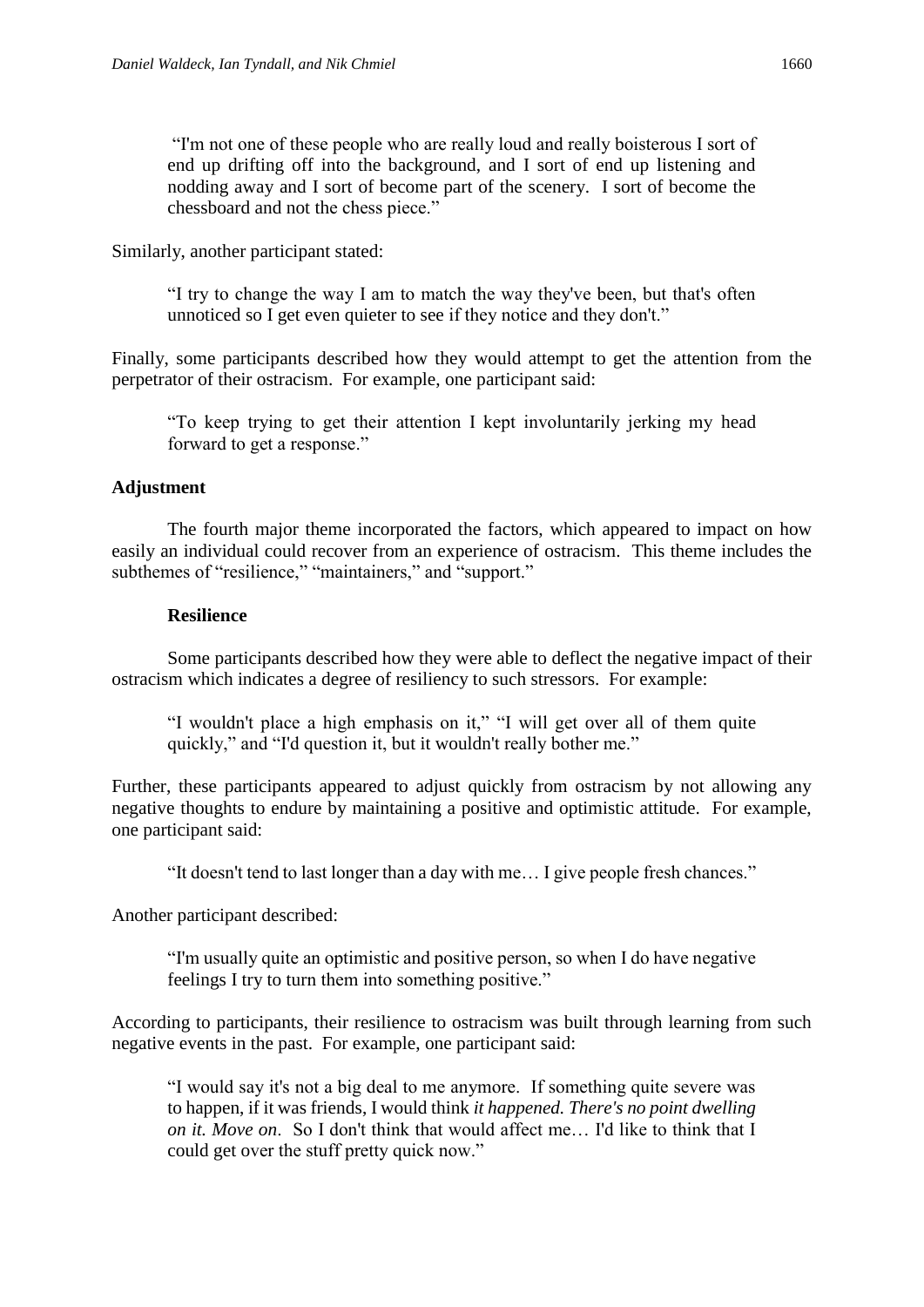"I'm not one of these people who are really loud and really boisterous I sort of end up drifting off into the background, and I sort of end up listening and nodding away and I sort of become part of the scenery. I sort of become the chessboard and not the chess piece."

Similarly, another participant stated:

"I try to change the way I am to match the way they've been, but that's often unnoticed so I get even quieter to see if they notice and they don't."

Finally, some participants described how they would attempt to get the attention from the perpetrator of their ostracism. For example, one participant said:

"To keep trying to get their attention I kept involuntarily jerking my head forward to get a response."

## **Adjustment**

The fourth major theme incorporated the factors, which appeared to impact on how easily an individual could recover from an experience of ostracism. This theme includes the subthemes of "resilience," "maintainers," and "support."

#### **Resilience**

Some participants described how they were able to deflect the negative impact of their ostracism which indicates a degree of resiliency to such stressors. For example:

"I wouldn't place a high emphasis on it," "I will get over all of them quite quickly," and "I'd question it, but it wouldn't really bother me."

Further, these participants appeared to adjust quickly from ostracism by not allowing any negative thoughts to endure by maintaining a positive and optimistic attitude. For example, one participant said:

"It doesn't tend to last longer than a day with me… I give people fresh chances."

Another participant described:

"I'm usually quite an optimistic and positive person, so when I do have negative feelings I try to turn them into something positive."

According to participants, their resilience to ostracism was built through learning from such negative events in the past. For example, one participant said:

"I would say it's not a big deal to me anymore. If something quite severe was to happen, if it was friends, I would think *it happened. There's no point dwelling on it. Move on*. So I don't think that would affect me… I'd like to think that I could get over the stuff pretty quick now."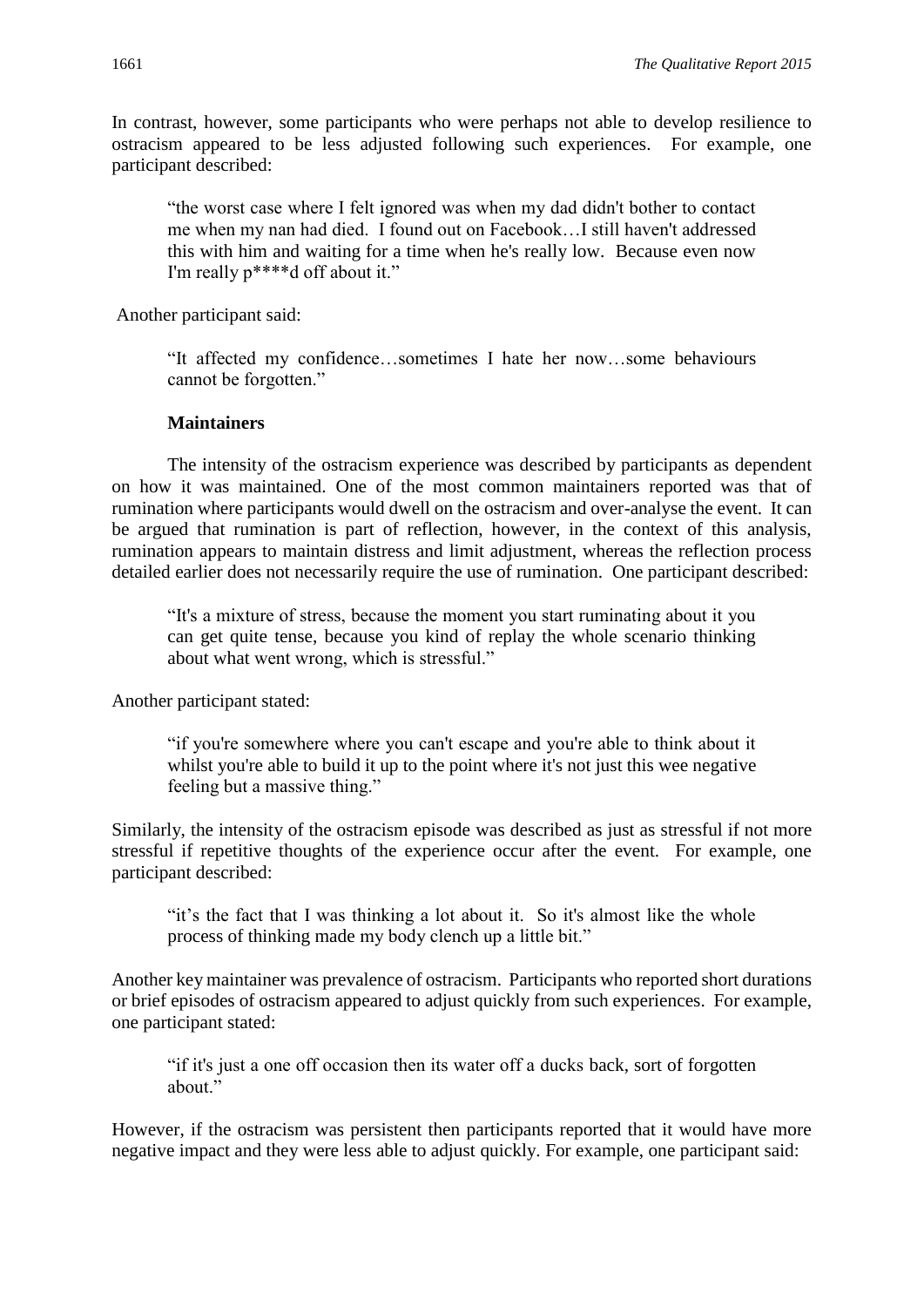In contrast, however, some participants who were perhaps not able to develop resilience to ostracism appeared to be less adjusted following such experiences. For example, one participant described:

"the worst case where I felt ignored was when my dad didn't bother to contact me when my nan had died. I found out on Facebook…I still haven't addressed this with him and waiting for a time when he's really low. Because even now I'm really p\*\*\*\*d off about it."

Another participant said:

"It affected my confidence…sometimes I hate her now…some behaviours cannot be forgotten."

#### **Maintainers**

The intensity of the ostracism experience was described by participants as dependent on how it was maintained. One of the most common maintainers reported was that of rumination where participants would dwell on the ostracism and over-analyse the event. It can be argued that rumination is part of reflection, however, in the context of this analysis, rumination appears to maintain distress and limit adjustment, whereas the reflection process detailed earlier does not necessarily require the use of rumination. One participant described:

"It's a mixture of stress, because the moment you start ruminating about it you can get quite tense, because you kind of replay the whole scenario thinking about what went wrong, which is stressful."

Another participant stated:

"if you're somewhere where you can't escape and you're able to think about it whilst you're able to build it up to the point where it's not just this wee negative feeling but a massive thing."

Similarly, the intensity of the ostracism episode was described as just as stressful if not more stressful if repetitive thoughts of the experience occur after the event. For example, one participant described:

"it's the fact that I was thinking a lot about it. So it's almost like the whole process of thinking made my body clench up a little bit."

Another key maintainer was prevalence of ostracism. Participants who reported short durations or brief episodes of ostracism appeared to adjust quickly from such experiences. For example, one participant stated:

"if it's just a one off occasion then its water off a ducks back, sort of forgotten about"

However, if the ostracism was persistent then participants reported that it would have more negative impact and they were less able to adjust quickly. For example, one participant said: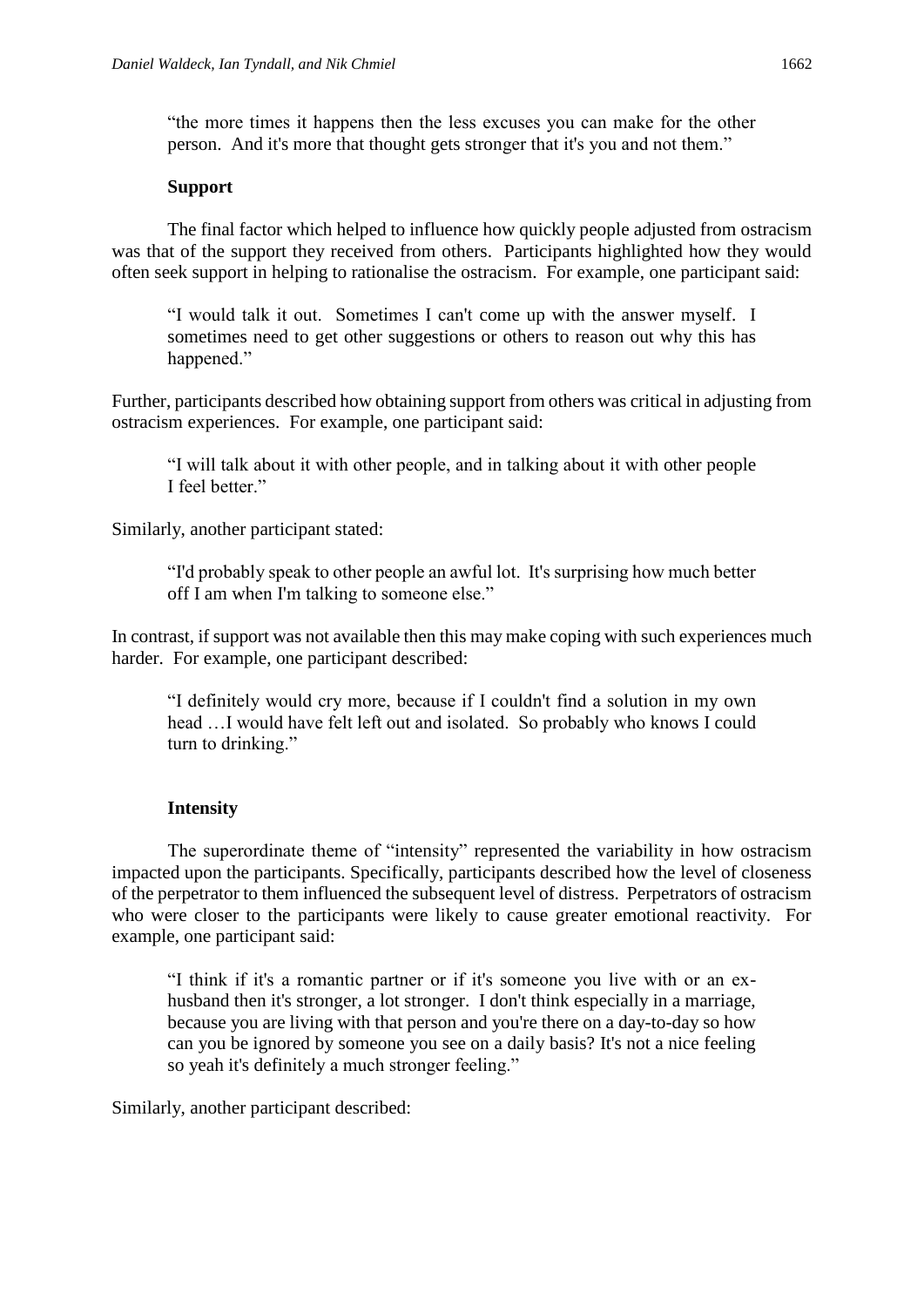"the more times it happens then the less excuses you can make for the other person. And it's more that thought gets stronger that it's you and not them."

### **Support**

The final factor which helped to influence how quickly people adjusted from ostracism was that of the support they received from others. Participants highlighted how they would often seek support in helping to rationalise the ostracism. For example, one participant said:

"I would talk it out. Sometimes I can't come up with the answer myself. I sometimes need to get other suggestions or others to reason out why this has happened."

Further, participants described how obtaining support from others was critical in adjusting from ostracism experiences. For example, one participant said:

"I will talk about it with other people, and in talking about it with other people I feel better."

Similarly, another participant stated:

"I'd probably speak to other people an awful lot. It's surprising how much better off I am when I'm talking to someone else."

In contrast, if support was not available then this may make coping with such experiences much harder. For example, one participant described:

"I definitely would cry more, because if I couldn't find a solution in my own head …I would have felt left out and isolated. So probably who knows I could turn to drinking."

# **Intensity**

The superordinate theme of "intensity" represented the variability in how ostracism impacted upon the participants. Specifically, participants described how the level of closeness of the perpetrator to them influenced the subsequent level of distress. Perpetrators of ostracism who were closer to the participants were likely to cause greater emotional reactivity. For example, one participant said:

"I think if it's a romantic partner or if it's someone you live with or an exhusband then it's stronger, a lot stronger. I don't think especially in a marriage, because you are living with that person and you're there on a day-to-day so how can you be ignored by someone you see on a daily basis? It's not a nice feeling so yeah it's definitely a much stronger feeling."

Similarly, another participant described: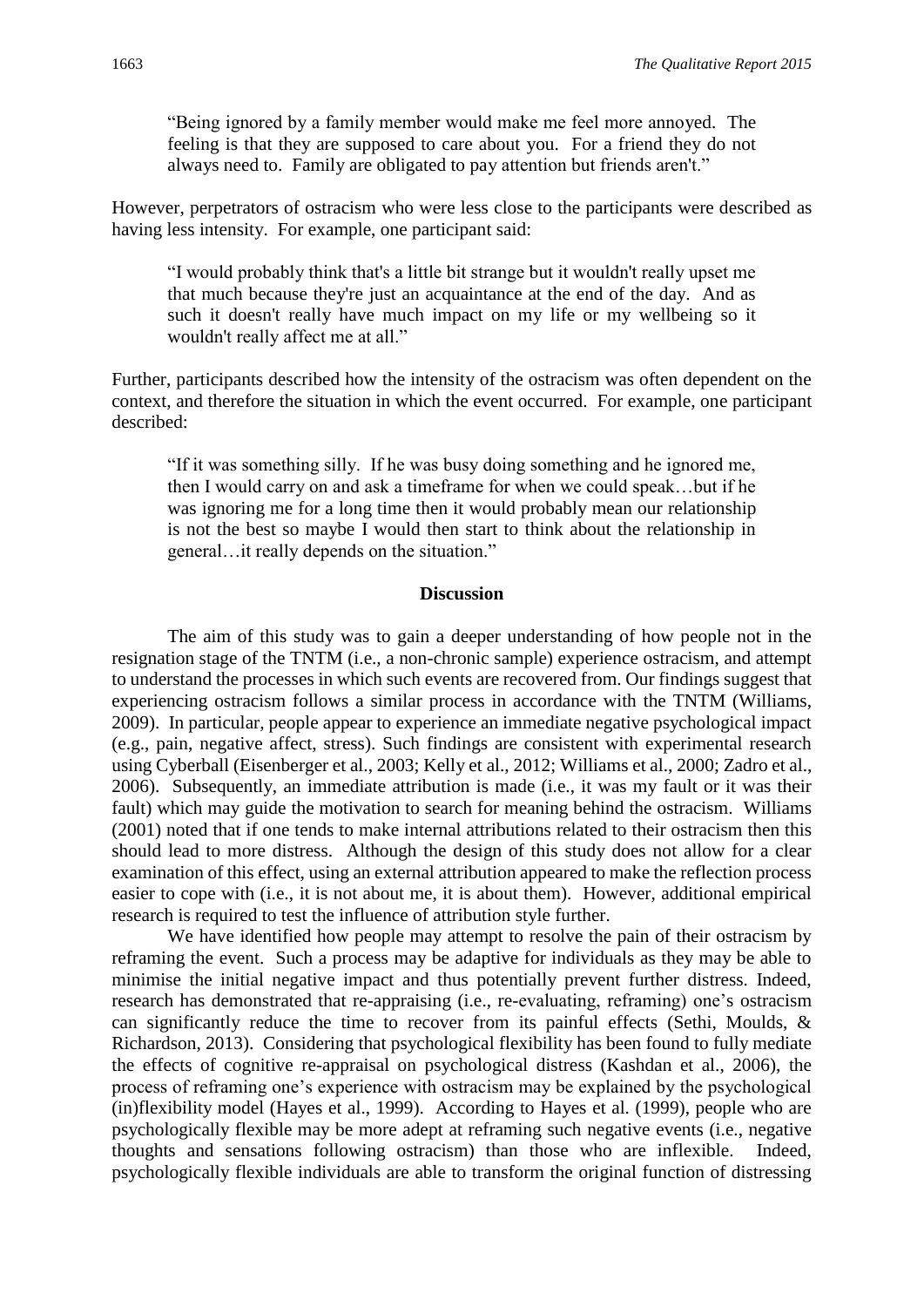"Being ignored by a family member would make me feel more annoyed. The feeling is that they are supposed to care about you. For a friend they do not always need to. Family are obligated to pay attention but friends aren't."

However, perpetrators of ostracism who were less close to the participants were described as having less intensity. For example, one participant said:

"I would probably think that's a little bit strange but it wouldn't really upset me that much because they're just an acquaintance at the end of the day. And as such it doesn't really have much impact on my life or my wellbeing so it wouldn't really affect me at all."

Further, participants described how the intensity of the ostracism was often dependent on the context, and therefore the situation in which the event occurred. For example, one participant described:

"If it was something silly. If he was busy doing something and he ignored me, then I would carry on and ask a timeframe for when we could speak…but if he was ignoring me for a long time then it would probably mean our relationship is not the best so maybe I would then start to think about the relationship in general…it really depends on the situation."

## **Discussion**

The aim of this study was to gain a deeper understanding of how people not in the resignation stage of the TNTM (i.e., a non-chronic sample) experience ostracism, and attempt to understand the processes in which such events are recovered from. Our findings suggest that experiencing ostracism follows a similar process in accordance with the TNTM (Williams, 2009). In particular, people appear to experience an immediate negative psychological impact (e.g., pain, negative affect, stress). Such findings are consistent with experimental research using Cyberball (Eisenberger et al., 2003; Kelly et al., 2012; Williams et al., 2000; Zadro et al., 2006). Subsequently, an immediate attribution is made (i.e., it was my fault or it was their fault) which may guide the motivation to search for meaning behind the ostracism. Williams (2001) noted that if one tends to make internal attributions related to their ostracism then this should lead to more distress. Although the design of this study does not allow for a clear examination of this effect, using an external attribution appeared to make the reflection process easier to cope with (i.e., it is not about me, it is about them). However, additional empirical research is required to test the influence of attribution style further.

We have identified how people may attempt to resolve the pain of their ostracism by reframing the event. Such a process may be adaptive for individuals as they may be able to minimise the initial negative impact and thus potentially prevent further distress. Indeed, research has demonstrated that re-appraising (i.e., re-evaluating, reframing) one's ostracism can significantly reduce the time to recover from its painful effects (Sethi, Moulds, & Richardson, 2013). Considering that psychological flexibility has been found to fully mediate the effects of cognitive re-appraisal on psychological distress (Kashdan et al., 2006), the process of reframing one's experience with ostracism may be explained by the psychological (in)flexibility model (Hayes et al., 1999). According to Hayes et al. (1999), people who are psychologically flexible may be more adept at reframing such negative events (i.e., negative thoughts and sensations following ostracism) than those who are inflexible. Indeed, psychologically flexible individuals are able to transform the original function of distressing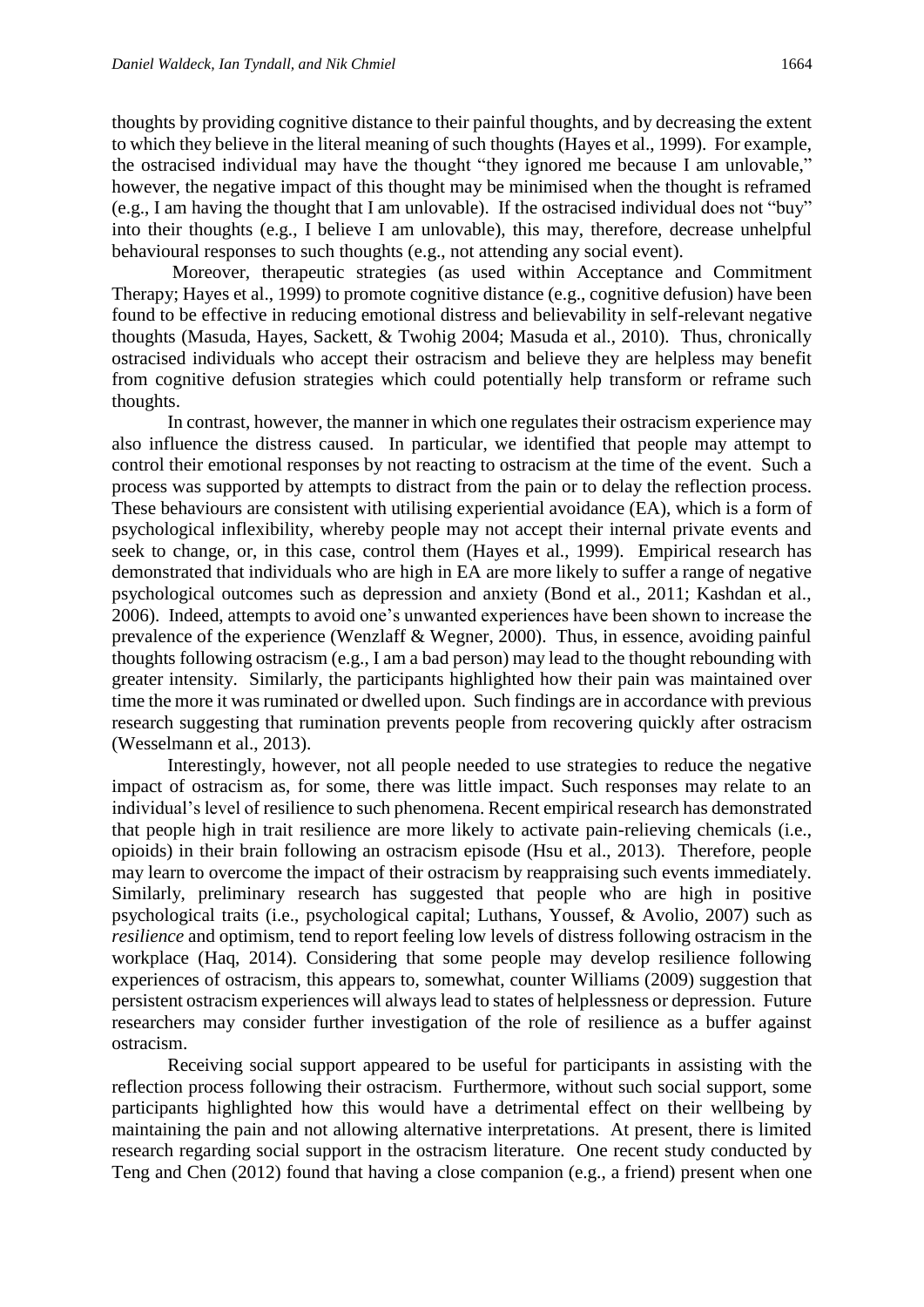thoughts by providing cognitive distance to their painful thoughts, and by decreasing the extent to which they believe in the literal meaning of such thoughts (Hayes et al., 1999). For example, the ostracised individual may have the thought "they ignored me because I am unlovable," however, the negative impact of this thought may be minimised when the thought is reframed (e.g., I am having the thought that I am unlovable). If the ostracised individual does not "buy" into their thoughts (e.g., I believe I am unlovable), this may, therefore, decrease unhelpful behavioural responses to such thoughts (e.g., not attending any social event).

Moreover, therapeutic strategies (as used within Acceptance and Commitment Therapy; Hayes et al., 1999) to promote cognitive distance (e.g., cognitive defusion) have been found to be effective in reducing emotional distress and believability in self-relevant negative thoughts (Masuda, Hayes, Sackett, & Twohig 2004; Masuda et al., 2010). Thus, chronically ostracised individuals who accept their ostracism and believe they are helpless may benefit from cognitive defusion strategies which could potentially help transform or reframe such thoughts.

In contrast, however, the manner in which one regulates their ostracism experience may also influence the distress caused. In particular, we identified that people may attempt to control their emotional responses by not reacting to ostracism at the time of the event. Such a process was supported by attempts to distract from the pain or to delay the reflection process. These behaviours are consistent with utilising experiential avoidance (EA), which is a form of psychological inflexibility, whereby people may not accept their internal private events and seek to change, or, in this case, control them (Hayes et al., 1999). Empirical research has demonstrated that individuals who are high in EA are more likely to suffer a range of negative psychological outcomes such as depression and anxiety (Bond et al., 2011; Kashdan et al., 2006). Indeed, attempts to avoid one's unwanted experiences have been shown to increase the prevalence of the experience (Wenzlaff & Wegner, 2000). Thus, in essence, avoiding painful thoughts following ostracism (e.g., I am a bad person) may lead to the thought rebounding with greater intensity. Similarly, the participants highlighted how their pain was maintained over time the more it was ruminated or dwelled upon. Such findings are in accordance with previous research suggesting that rumination prevents people from recovering quickly after ostracism (Wesselmann et al., 2013).

Interestingly, however, not all people needed to use strategies to reduce the negative impact of ostracism as, for some, there was little impact. Such responses may relate to an individual's level of resilience to such phenomena. Recent empirical research has demonstrated that people high in trait resilience are more likely to activate pain-relieving chemicals (i.e., opioids) in their brain following an ostracism episode (Hsu et al., 2013). Therefore, people may learn to overcome the impact of their ostracism by reappraising such events immediately. Similarly, preliminary research has suggested that people who are high in positive psychological traits (i.e., psychological capital; Luthans, Youssef, & Avolio, 2007) such as *resilience* and optimism, tend to report feeling low levels of distress following ostracism in the workplace (Haq, 2014). Considering that some people may develop resilience following experiences of ostracism, this appears to, somewhat, counter Williams (2009) suggestion that persistent ostracism experiences will always lead to states of helplessness or depression. Future researchers may consider further investigation of the role of resilience as a buffer against ostracism.

Receiving social support appeared to be useful for participants in assisting with the reflection process following their ostracism. Furthermore, without such social support, some participants highlighted how this would have a detrimental effect on their wellbeing by maintaining the pain and not allowing alternative interpretations. At present, there is limited research regarding social support in the ostracism literature. One recent study conducted by Teng and Chen (2012) found that having a close companion (e.g., a friend) present when one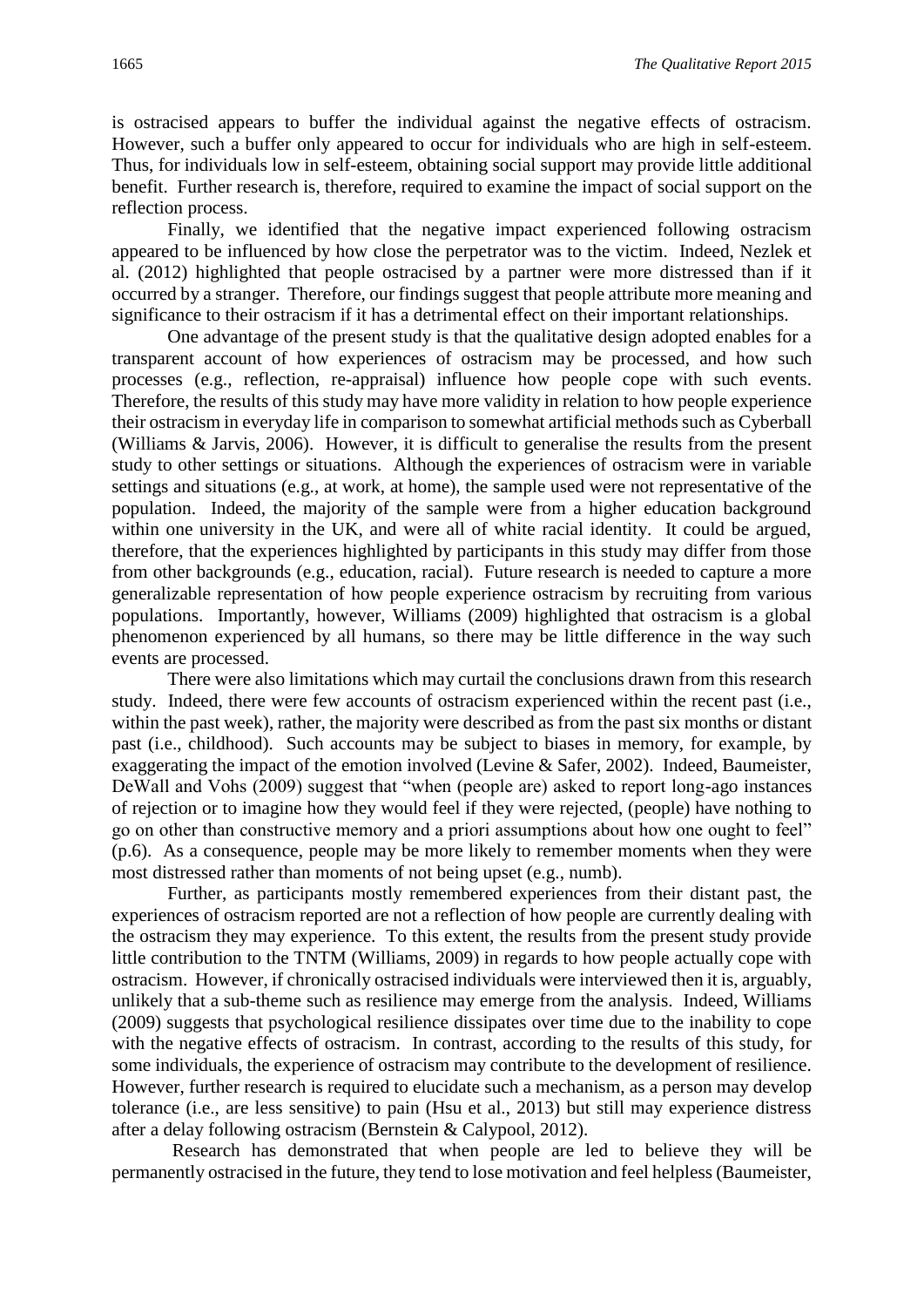is ostracised appears to buffer the individual against the negative effects of ostracism. However, such a buffer only appeared to occur for individuals who are high in self-esteem. Thus, for individuals low in self-esteem, obtaining social support may provide little additional benefit. Further research is, therefore, required to examine the impact of social support on the reflection process.

Finally, we identified that the negative impact experienced following ostracism appeared to be influenced by how close the perpetrator was to the victim. Indeed, Nezlek et al. (2012) highlighted that people ostracised by a partner were more distressed than if it occurred by a stranger. Therefore, our findings suggest that people attribute more meaning and significance to their ostracism if it has a detrimental effect on their important relationships.

One advantage of the present study is that the qualitative design adopted enables for a transparent account of how experiences of ostracism may be processed, and how such processes (e.g., reflection, re-appraisal) influence how people cope with such events. Therefore, the results of this study may have more validity in relation to how people experience their ostracism in everyday life in comparison to somewhat artificial methods such as Cyberball (Williams & Jarvis, 2006). However, it is difficult to generalise the results from the present study to other settings or situations. Although the experiences of ostracism were in variable settings and situations (e.g., at work, at home), the sample used were not representative of the population. Indeed, the majority of the sample were from a higher education background within one university in the UK, and were all of white racial identity. It could be argued, therefore, that the experiences highlighted by participants in this study may differ from those from other backgrounds (e.g., education, racial). Future research is needed to capture a more generalizable representation of how people experience ostracism by recruiting from various populations. Importantly, however, Williams (2009) highlighted that ostracism is a global phenomenon experienced by all humans, so there may be little difference in the way such events are processed.

There were also limitations which may curtail the conclusions drawn from this research study. Indeed, there were few accounts of ostracism experienced within the recent past (i.e., within the past week), rather, the majority were described as from the past six months or distant past (i.e., childhood). Such accounts may be subject to biases in memory, for example, by exaggerating the impact of the emotion involved (Levine & Safer, 2002). Indeed, Baumeister, DeWall and Vohs (2009) suggest that "when (people are) asked to report long-ago instances of rejection or to imagine how they would feel if they were rejected, (people) have nothing to go on other than constructive memory and a priori assumptions about how one ought to feel" (p.6). As a consequence, people may be more likely to remember moments when they were most distressed rather than moments of not being upset (e.g., numb).

Further, as participants mostly remembered experiences from their distant past, the experiences of ostracism reported are not a reflection of how people are currently dealing with the ostracism they may experience. To this extent, the results from the present study provide little contribution to the TNTM (Williams, 2009) in regards to how people actually cope with ostracism. However, if chronically ostracised individuals were interviewed then it is, arguably, unlikely that a sub-theme such as resilience may emerge from the analysis. Indeed, Williams (2009) suggests that psychological resilience dissipates over time due to the inability to cope with the negative effects of ostracism. In contrast, according to the results of this study, for some individuals, the experience of ostracism may contribute to the development of resilience. However, further research is required to elucidate such a mechanism, as a person may develop tolerance (i.e., are less sensitive) to pain (Hsu et al., 2013) but still may experience distress after a delay following ostracism (Bernstein & Calypool, 2012).

Research has demonstrated that when people are led to believe they will be permanently ostracised in the future, they tend to lose motivation and feel helpless (Baumeister,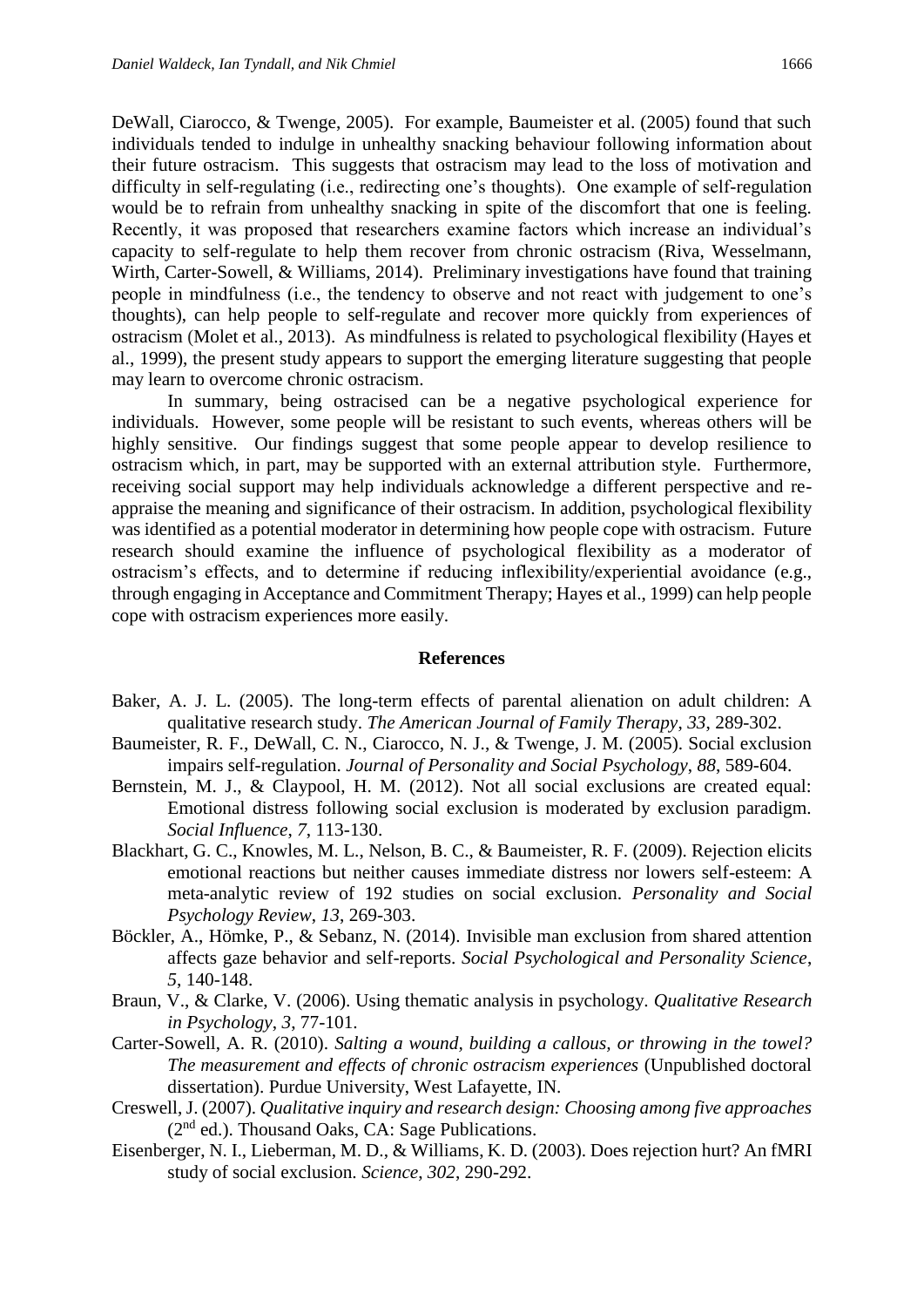DeWall, Ciarocco, & Twenge, 2005). For example, Baumeister et al. (2005) found that such individuals tended to indulge in unhealthy snacking behaviour following information about their future ostracism. This suggests that ostracism may lead to the loss of motivation and difficulty in self-regulating (i.e., redirecting one's thoughts). One example of self-regulation would be to refrain from unhealthy snacking in spite of the discomfort that one is feeling. Recently, it was proposed that researchers examine factors which increase an individual's capacity to self-regulate to help them recover from chronic ostracism (Riva, Wesselmann, Wirth, Carter-Sowell, & Williams, 2014). Preliminary investigations have found that training people in mindfulness (i.e., the tendency to observe and not react with judgement to one's thoughts), can help people to self-regulate and recover more quickly from experiences of ostracism (Molet et al., 2013). As mindfulness is related to psychological flexibility (Hayes et al., 1999), the present study appears to support the emerging literature suggesting that people may learn to overcome chronic ostracism.

In summary, being ostracised can be a negative psychological experience for individuals. However, some people will be resistant to such events, whereas others will be highly sensitive. Our findings suggest that some people appear to develop resilience to ostracism which, in part, may be supported with an external attribution style. Furthermore, receiving social support may help individuals acknowledge a different perspective and reappraise the meaning and significance of their ostracism. In addition, psychological flexibility was identified as a potential moderator in determining how people cope with ostracism. Future research should examine the influence of psychological flexibility as a moderator of ostracism's effects, and to determine if reducing inflexibility/experiential avoidance (e.g., through engaging in Acceptance and Commitment Therapy; Hayes et al., 1999) can help people cope with ostracism experiences more easily.

#### **References**

- Baker, A. J. L. (2005). The long-term effects of parental alienation on adult children: A qualitative research study. *The American Journal of Family Therapy*, *33*, 289-302.
- Baumeister, R. F., DeWall, C. N., Ciarocco, N. J., & Twenge, J. M. (2005). Social exclusion impairs self-regulation. *Journal of Personality and Social Psychology*, *88*, 589-604.
- Bernstein, M. J., & Claypool, H. M. (2012). Not all social exclusions are created equal: Emotional distress following social exclusion is moderated by exclusion paradigm. *Social Influence*, *7*, 113-130.
- Blackhart, G. C., Knowles, M. L., Nelson, B. C., & Baumeister, R. F. (2009). Rejection elicits emotional reactions but neither causes immediate distress nor lowers self-esteem: A meta-analytic review of 192 studies on social exclusion. *Personality and Social Psychology Review*, *13*, 269-303.
- Böckler, A., Hömke, P., & Sebanz, N. (2014). Invisible man exclusion from shared attention affects gaze behavior and self-reports. *Social Psychological and Personality Science*, *5*, 140-148.
- Braun, V., & Clarke, V. (2006). Using thematic analysis in psychology. *Qualitative Research in Psychology*, *3*, 77-101.
- Carter-Sowell, A. R. (2010). *Salting a wound, building a callous, or throwing in the towel? The measurement and effects of chronic ostracism experiences* (Unpublished doctoral dissertation). Purdue University, West Lafayette, IN.
- Creswell, J. (2007). *Qualitative inquiry and research design: Choosing among five approaches*  (2nd ed.). Thousand Oaks, CA: Sage Publications.
- Eisenberger, N. I., Lieberman, M. D., & Williams, K. D. (2003). Does rejection hurt? An fMRI study of social exclusion. *Science*, *302*, 290-292.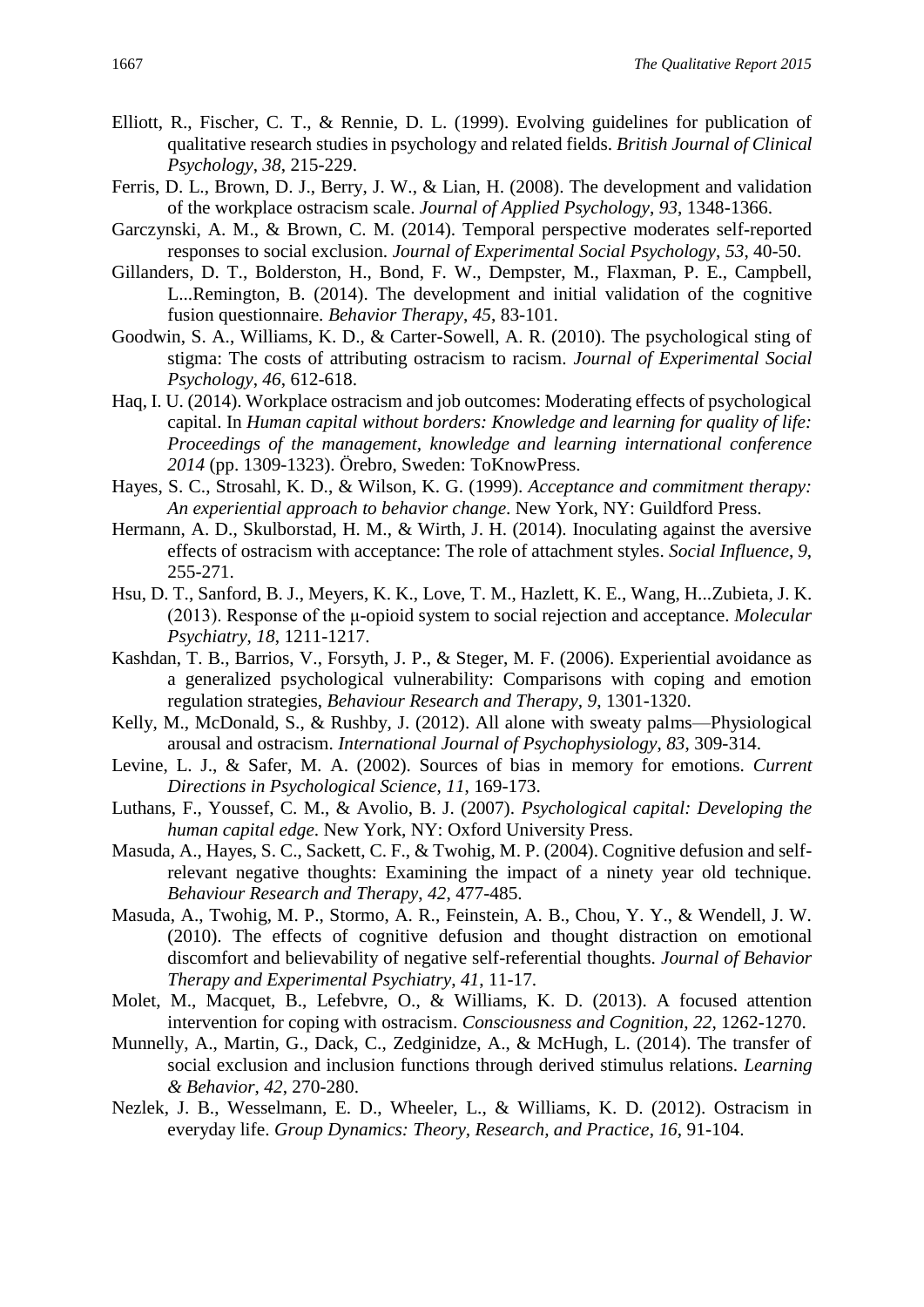- Elliott, R., Fischer, C. T., & Rennie, D. L. (1999). Evolving guidelines for publication of qualitative research studies in psychology and related fields. *British Journal of Clinical Psychology*, *38*, 215-229.
- Ferris, D. L., Brown, D. J., Berry, J. W., & Lian, H. (2008). The development and validation of the workplace ostracism scale. *Journal of Applied Psychology*, *93*, 1348-1366.
- Garczynski, A. M., & Brown, C. M. (2014). Temporal perspective moderates self-reported responses to social exclusion. *Journal of Experimental Social Psychology*, *53*, 40-50.
- Gillanders, D. T., Bolderston, H., Bond, F. W., Dempster, M., Flaxman, P. E., Campbell, L...Remington, B. (2014). The development and initial validation of the cognitive fusion questionnaire. *Behavior Therapy*, *45*, 83-101.
- Goodwin, S. A., Williams, K. D., & Carter-Sowell, A. R. (2010). The psychological sting of stigma: The costs of attributing ostracism to racism. *Journal of Experimental Social Psychology*, *46*, 612-618.
- Haq, I. U. (2014). Workplace ostracism and job outcomes: Moderating effects of psychological capital. In *Human capital without borders: Knowledge and learning for quality of life: Proceedings of the management, knowledge and learning international conference 2014* (pp. 1309-1323). Örebro, Sweden: ToKnowPress.
- Hayes, S. C., Strosahl, K. D., & Wilson, K. G. (1999). *Acceptance and commitment therapy: An experiential approach to behavior change*. New York, NY: Guildford Press.
- Hermann, A. D., Skulborstad, H. M., & Wirth, J. H. (2014). Inoculating against the aversive effects of ostracism with acceptance: The role of attachment styles. *Social Influence*, *9*, 255-271.
- Hsu, D. T., Sanford, B. J., Meyers, K. K., Love, T. M., Hazlett, K. E., Wang, H...Zubieta, J. K. (2013). Response of the μ-opioid system to social rejection and acceptance. *Molecular Psychiatry*, *18*, 1211-1217.
- Kashdan, T. B., Barrios, V., Forsyth, J. P., & Steger, M. F. (2006). Experiential avoidance as a generalized psychological vulnerability: Comparisons with coping and emotion regulation strategies, *Behaviour Research and Therapy, 9*, 1301-1320.
- Kelly, M., McDonald, S., & Rushby, J. (2012). All alone with sweaty palms—Physiological arousal and ostracism. *International Journal of Psychophysiology*, *83*, 309-314.
- Levine, L. J., & Safer, M. A. (2002). Sources of bias in memory for emotions. *Current Directions in Psychological Science*, *11*, 169-173.
- Luthans, F., Youssef, C. M., & Avolio, B. J. (2007). *Psychological capital: Developing the human capital edge*. New York, NY: Oxford University Press.
- Masuda, A., Hayes, S. C., Sackett, C. F., & Twohig, M. P. (2004). Cognitive defusion and selfrelevant negative thoughts: Examining the impact of a ninety year old technique. *Behaviour Research and Therapy*, *42*, 477-485.
- Masuda, A., Twohig, M. P., Stormo, A. R., Feinstein, A. B., Chou, Y. Y., & Wendell, J. W. (2010). The effects of cognitive defusion and thought distraction on emotional discomfort and believability of negative self-referential thoughts. *Journal of Behavior Therapy and Experimental Psychiatry*, *41*, 11-17.
- Molet, M., Macquet, B., Lefebvre, O., & Williams, K. D. (2013). A focused attention intervention for coping with ostracism. *Consciousness and Cognition*, *22*, 1262-1270.
- Munnelly, A., Martin, G., Dack, C., Zedginidze, A., & McHugh, L. (2014). The transfer of social exclusion and inclusion functions through derived stimulus relations. *Learning & Behavior*, *42*, 270-280.
- Nezlek, J. B., Wesselmann, E. D., Wheeler, L., & Williams, K. D. (2012). Ostracism in everyday life. *Group Dynamics: Theory, Research, and Practice*, *16*, 91-104.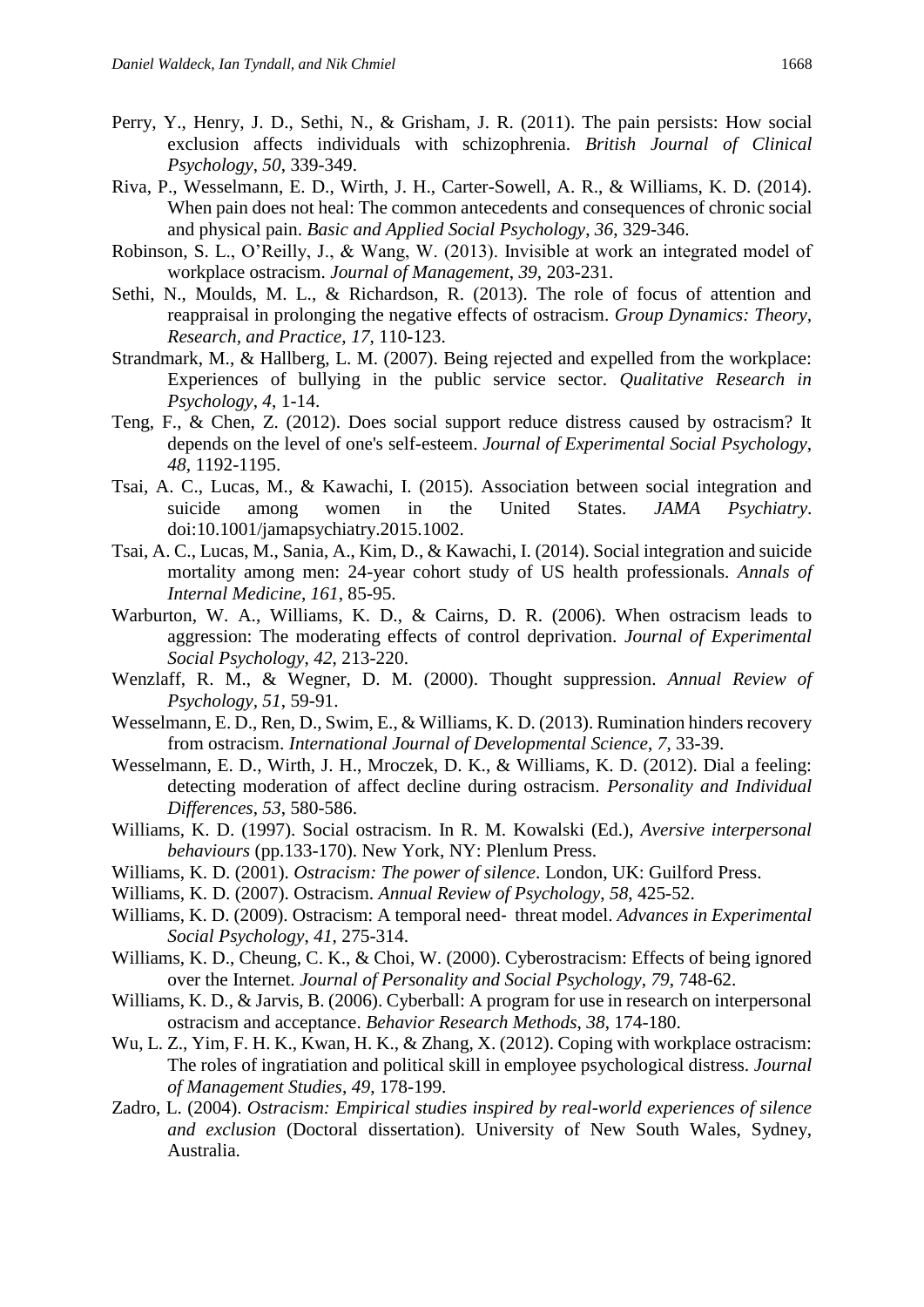- Perry, Y., Henry, J. D., Sethi, N., & Grisham, J. R. (2011). The pain persists: How social exclusion affects individuals with schizophrenia. *British Journal of Clinical Psychology*, *50*, 339-349.
- Riva, P., Wesselmann, E. D., Wirth, J. H., Carter-Sowell, A. R., & Williams, K. D. (2014). When pain does not heal: The common antecedents and consequences of chronic social and physical pain. *Basic and Applied Social Psychology*, *36*, 329-346.
- Robinson, S. L., O'Reilly, J., & Wang, W. (2013). Invisible at work an integrated model of workplace ostracism. *Journal of Management*, *39*, 203-231.
- Sethi, N., Moulds, M. L., & Richardson, R. (2013). The role of focus of attention and reappraisal in prolonging the negative effects of ostracism. *Group Dynamics: Theory, Research, and Practice*, *17*, 110-123.
- Strandmark, M., & Hallberg, L. M. (2007). Being rejected and expelled from the workplace: Experiences of bullying in the public service sector. *Qualitative Research in Psychology*, *4*, 1-14.
- Teng, F., & Chen, Z. (2012). Does social support reduce distress caused by ostracism? It depends on the level of one's self-esteem. *Journal of Experimental Social Psychology*, *48*, 1192-1195.
- Tsai, A. C., Lucas, M., & Kawachi, I. (2015). Association between social integration and suicide among women in the United States. *JAMA Psychiatry*. doi:10.1001/jamapsychiatry.2015.1002.
- Tsai, A. C., Lucas, M., Sania, A., Kim, D., & Kawachi, I. (2014). Social integration and suicide mortality among men: 24-year cohort study of US health professionals. *Annals of Internal Medicine*, *161*, 85-95.
- Warburton, W. A., Williams, K. D., & Cairns, D. R. (2006). When ostracism leads to aggression: The moderating effects of control deprivation. *Journal of Experimental Social Psychology*, *42*, 213-220.
- Wenzlaff, R. M., & Wegner, D. M. (2000). Thought suppression. *Annual Review of Psychology, 51*, 59-91.
- Wesselmann, E. D., Ren, D., Swim, E., & Williams, K. D. (2013). Rumination hinders recovery from ostracism. *International Journal of Developmental Science*, *7*, 33-39.
- Wesselmann, E. D., Wirth, J. H., Mroczek, D. K., & Williams, K. D. (2012). Dial a feeling: detecting moderation of affect decline during ostracism. *Personality and Individual Differences*, *53*, 580-586.
- Williams, K. D. (1997). Social ostracism. In R. M. Kowalski (Ed.), *Aversive interpersonal behaviours* (pp.133-170). New York, NY: Plenlum Press.
- Williams, K. D. (2001). *Ostracism: The power of silence*. London, UK: Guilford Press.
- Williams, K. D. (2007). Ostracism. *Annual Review of Psychology*, *58*, 425-52.
- Williams, K. D. (2009). Ostracism: A temporal need‐ threat model. *Advances in Experimental Social Psychology*, *41*, 275-314.
- Williams, K. D., Cheung, C. K., & Choi, W. (2000). Cyberostracism: Effects of being ignored over the Internet. *Journal of Personality and Social Psychology*, *79*, 748-62.
- Williams, K. D., & Jarvis, B. (2006). Cyberball: A program for use in research on interpersonal ostracism and acceptance. *Behavior Research Methods*, *38*, 174-180.
- Wu, L. Z., Yim, F. H. K., Kwan, H. K., & Zhang, X. (2012). Coping with workplace ostracism: The roles of ingratiation and political skill in employee psychological distress. *Journal of Management Studies*, *49*, 178-199.
- Zadro, L. (2004). *Ostracism: Empirical studies inspired by real-world experiences of silence and exclusion* (Doctoral dissertation). University of New South Wales, Sydney, Australia.